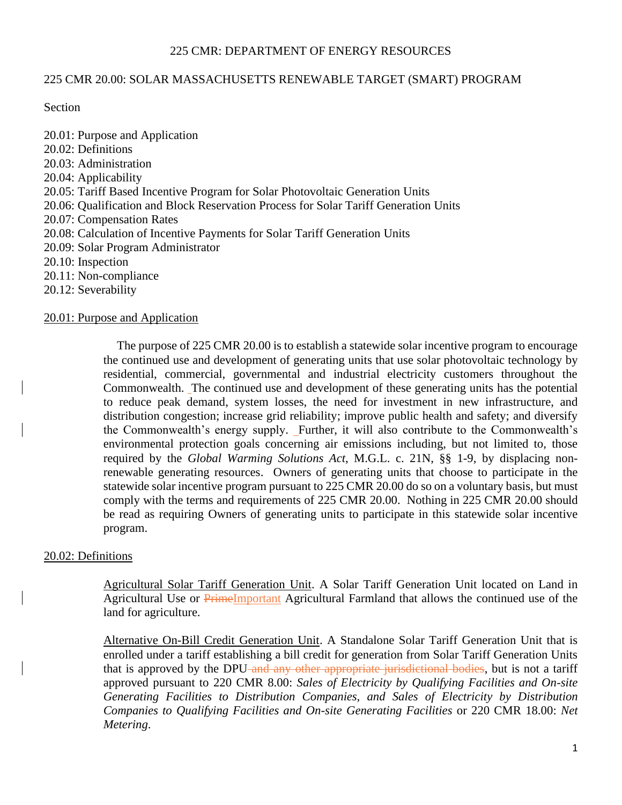### 225 CMR: DEPARTMENT OF ENERGY RESOURCES

#### 225 CMR 20.00: SOLAR MASSACHUSETTS RENEWABLE TARGET (SMART) PROGRAM

Section

20.01: Purpose and Application 20.02: Definitions 20.03: Administration 20.04: Applicability 20.05: Tariff Based Incentive Program for Solar Photovoltaic Generation Units 20.06: Qualification and Block Reservation Process for Solar Tariff Generation Units 20.07: Compensation Rates 20.08: Calculation of Incentive Payments for Solar Tariff Generation Units 20.09: Solar Program Administrator 20.10: Inspection 20.11: Non-compliance 20.12: Severability

#### 20.01: Purpose and Application

The purpose of 225 CMR 20.00 is to establish a statewide solar incentive program to encourage the continued use and development of generating units that use solar photovoltaic technology by residential, commercial, governmental and industrial electricity customers throughout the Commonwealth. The continued use and development of these generating units has the potential to reduce peak demand, system losses, the need for investment in new infrastructure, and distribution congestion; increase grid reliability; improve public health and safety; and diversify the Commonwealth's energy supply. Further, it will also contribute to the Commonwealth's environmental protection goals concerning air emissions including, but not limited to, those required by the *Global Warming Solutions Act*, M.G.L. c. 21N, §§ 1-9, by displacing nonrenewable generating resources. Owners of generating units that choose to participate in the statewide solar incentive program pursuant to 225 CMR 20.00 do so on a voluntary basis, but must comply with the terms and requirements of 225 CMR 20.00. Nothing in 225 CMR 20.00 should be read as requiring Owners of generating units to participate in this statewide solar incentive program.

### 20.02: Definitions

Agricultural Solar Tariff Generation Unit. A Solar Tariff Generation Unit located on Land in Agricultural Use or PrimeImportant Agricultural Farmland that allows the continued use of the land for agriculture.

Alternative On-Bill Credit Generation Unit. A Standalone Solar Tariff Generation Unit that is enrolled under a tariff establishing a bill credit for generation from Solar Tariff Generation Units that is approved by the DPU-and any other appropriate jurisdictional bodies, but is not a tariff approved pursuant to 220 CMR 8.00: *Sales of Electricity by Qualifying Facilities and On-site Generating Facilities to Distribution Companies, and Sales of Electricity by Distribution Companies to Qualifying Facilities and On-site Generating Facilities* or 220 CMR 18.00: *Net Metering*.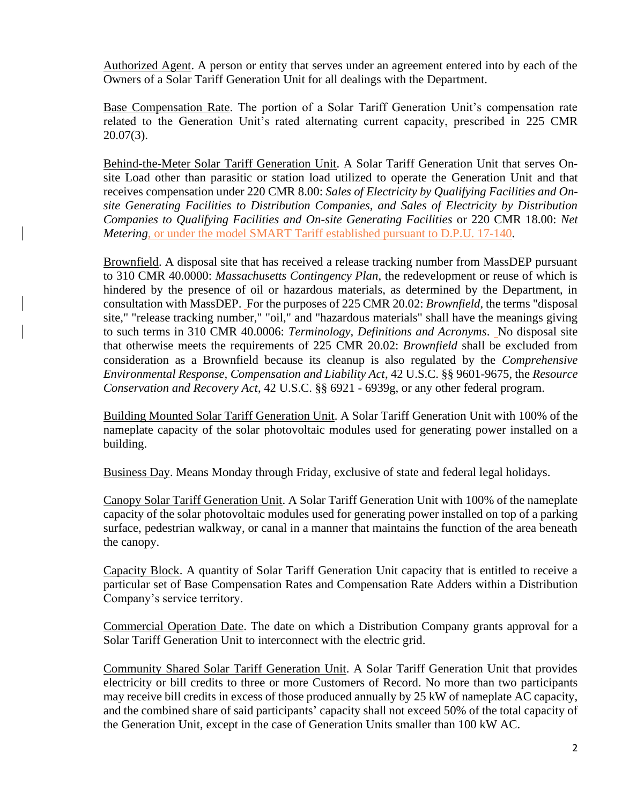Authorized Agent. A person or entity that serves under an agreement entered into by each of the Owners of a Solar Tariff Generation Unit for all dealings with the Department.

Base Compensation Rate. The portion of a Solar Tariff Generation Unit's compensation rate related to the Generation Unit's rated alternating current capacity, prescribed in 225 CMR 20.07(3).

Behind-the-Meter Solar Tariff Generation Unit. A Solar Tariff Generation Unit that serves Onsite Load other than parasitic or station load utilized to operate the Generation Unit and that receives compensation under 220 CMR 8.00: *Sales of Electricity by Qualifying Facilities and Onsite Generating Facilities to Distribution Companies, and Sales of Electricity by Distribution Companies to Qualifying Facilities and On-site Generating Facilities* or 220 CMR 18.00: *Net Metering*, or under the model SMART Tariff established pursuant to D.P.U. 17-140.

Brownfield. A disposal site that has received a release tracking number from MassDEP pursuant to 310 CMR 40.0000: *Massachusetts Contingency Plan*, the redevelopment or reuse of which is hindered by the presence of oil or hazardous materials, as determined by the Department, in consultation with MassDEP. For the purposes of 225 CMR 20.02: *Brownfield*, the terms "disposal site," "release tracking number," "oil," and "hazardous materials" shall have the meanings giving to such terms in 310 CMR 40.0006: *Terminology, Definitions and Acronyms*. No disposal site that otherwise meets the requirements of 225 CMR 20.02: *Brownfield* shall be excluded from consideration as a Brownfield because its cleanup is also regulated by the *Comprehensive Environmental Response, Compensation and Liability Act*, 42 U.S.C. §§ 9601-9675, the *Resource Conservation and Recovery Act*, 42 U.S.C. §§ 6921 - 6939g, or any other federal program.

Building Mounted Solar Tariff Generation Unit. A Solar Tariff Generation Unit with 100% of the nameplate capacity of the solar photovoltaic modules used for generating power installed on a building.

Business Day. Means Monday through Friday, exclusive of state and federal legal holidays.

Canopy Solar Tariff Generation Unit. A Solar Tariff Generation Unit with 100% of the nameplate capacity of the solar photovoltaic modules used for generating power installed on top of a parking surface, pedestrian walkway, or canal in a manner that maintains the function of the area beneath the canopy.

Capacity Block. A quantity of Solar Tariff Generation Unit capacity that is entitled to receive a particular set of Base Compensation Rates and Compensation Rate Adders within a Distribution Company's service territory.

Commercial Operation Date. The date on which a Distribution Company grants approval for a Solar Tariff Generation Unit to interconnect with the electric grid.

Community Shared Solar Tariff Generation Unit. A Solar Tariff Generation Unit that provides electricity or bill credits to three or more Customers of Record. No more than two participants may receive bill credits in excess of those produced annually by 25 kW of nameplate AC capacity, and the combined share of said participants' capacity shall not exceed 50% of the total capacity of the Generation Unit, except in the case of Generation Units smaller than 100 kW AC.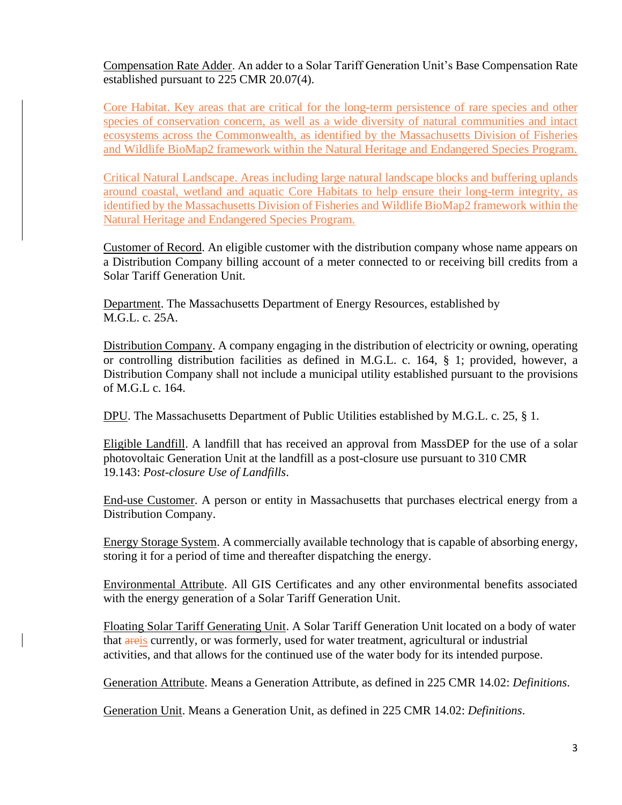Compensation Rate Adder. An adder to a Solar Tariff Generation Unit's Base Compensation Rate established pursuant to 225 CMR 20.07(4).

Core Habitat. Key areas that are critical for the long-term persistence of rare species and other species of conservation concern, as well as a wide diversity of natural communities and intact ecosystems across the Commonwealth, as identified by the Massachusetts Division of Fisheries and Wildlife BioMap2 framework within the Natural Heritage and Endangered Species Program.

Critical Natural Landscape. Areas including large natural landscape blocks and buffering uplands around coastal, wetland and aquatic Core Habitats to help ensure their long-term integrity, as identified by the Massachusetts Division of Fisheries and Wildlife BioMap2 framework within the Natural Heritage and Endangered Species Program.

Customer of Record. An eligible customer with the distribution company whose name appears on a Distribution Company billing account of a meter connected to or receiving bill credits from a Solar Tariff Generation Unit.

Department. The Massachusetts Department of Energy Resources, established by M.G.L. c. 25A.

Distribution Company. A company engaging in the distribution of electricity or owning, operating or controlling distribution facilities as defined in M.G.L. c. 164, § 1; provided, however, a Distribution Company shall not include a municipal utility established pursuant to the provisions of M.G.L c. 164.

DPU. The Massachusetts Department of Public Utilities established by M.G.L. c. 25, § 1.

Eligible Landfill. A landfill that has received an approval from MassDEP for the use of a solar photovoltaic Generation Unit at the landfill as a post-closure use pursuant to 310 CMR 19.143: *Post-closure Use of Landfills*.

End-use Customer. A person or entity in Massachusetts that purchases electrical energy from a Distribution Company.

Energy Storage System. A commercially available technology that is capable of absorbing energy, storing it for a period of time and thereafter dispatching the energy.

Environmental Attribute. All GIS Certificates and any other environmental benefits associated with the energy generation of a Solar Tariff Generation Unit.

Floating Solar Tariff Generating Unit. A Solar Tariff Generation Unit located on a body of water that are is currently, or was formerly, used for water treatment, agricultural or industrial activities, and that allows for the continued use of the water body for its intended purpose.

Generation Attribute. Means a Generation Attribute, as defined in 225 CMR 14.02: *Definitions*.

Generation Unit. Means a Generation Unit, as defined in 225 CMR 14.02: *Definitions*.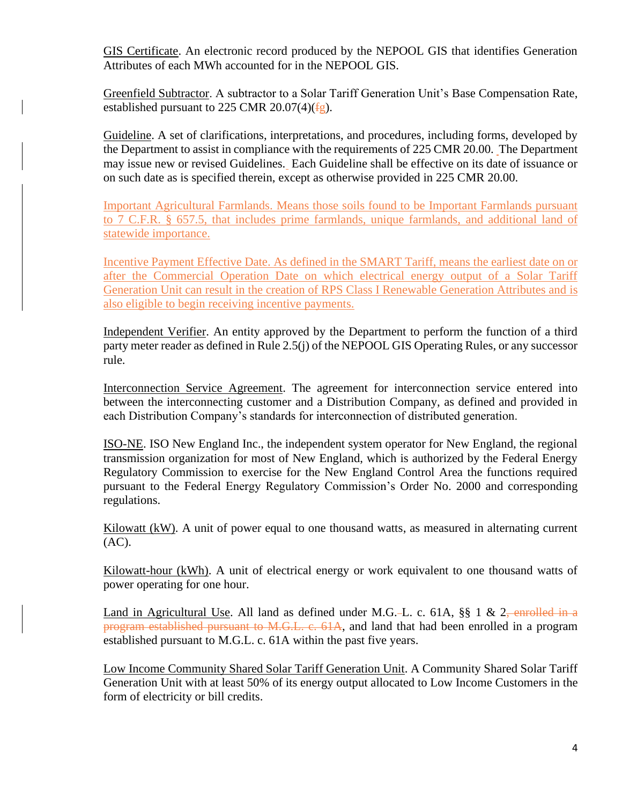GIS Certificate. An electronic record produced by the NEPOOL GIS that identifies Generation Attributes of each MWh accounted for in the NEPOOL GIS.

Greenfield Subtractor. A subtractor to a Solar Tariff Generation Unit's Base Compensation Rate, established pursuant to 225 CMR 20.07(4) $(fg)$ .

Guideline. A set of clarifications, interpretations, and procedures, including forms, developed by the Department to assist in compliance with the requirements of 225 CMR 20.00. The Department may issue new or revised Guidelines. Each Guideline shall be effective on its date of issuance or on such date as is specified therein, except as otherwise provided in 225 CMR 20.00.

Important Agricultural Farmlands. Means those soils found to be Important Farmlands pursuant to 7 C.F.R. § 657.5, that includes prime farmlands, unique farmlands, and additional land of statewide importance.

Incentive Payment Effective Date. As defined in the SMART Tariff, means the earliest date on or after the Commercial Operation Date on which electrical energy output of a Solar Tariff Generation Unit can result in the creation of RPS Class I Renewable Generation Attributes and is also eligible to begin receiving incentive payments.

Independent Verifier. An entity approved by the Department to perform the function of a third party meter reader as defined in Rule 2.5(j) of the NEPOOL GIS Operating Rules, or any successor rule.

Interconnection Service Agreement. The agreement for interconnection service entered into between the interconnecting customer and a Distribution Company, as defined and provided in each Distribution Company's standards for interconnection of distributed generation.

ISO-NE. ISO New England Inc., the independent system operator for New England, the regional transmission organization for most of New England, which is authorized by the Federal Energy Regulatory Commission to exercise for the New England Control Area the functions required pursuant to the Federal Energy Regulatory Commission's Order No. 2000 and corresponding regulations.

 $Kilowatt (kW)$ . A unit of power equal to one thousand watts, as measured in alternating current (AC).

Kilowatt-hour (kWh). A unit of electrical energy or work equivalent to one thousand watts of power operating for one hour.

Land in Agricultural Use. All land as defined under M.G.-L. c. 61A, §§ 1 & 2<del>, enrolled in a</del> program established pursuant to M.G.L. c. 61A, and land that had been enrolled in a program established pursuant to M.G.L. c. 61A within the past five years.

Low Income Community Shared Solar Tariff Generation Unit. A Community Shared Solar Tariff Generation Unit with at least 50% of its energy output allocated to Low Income Customers in the form of electricity or bill credits.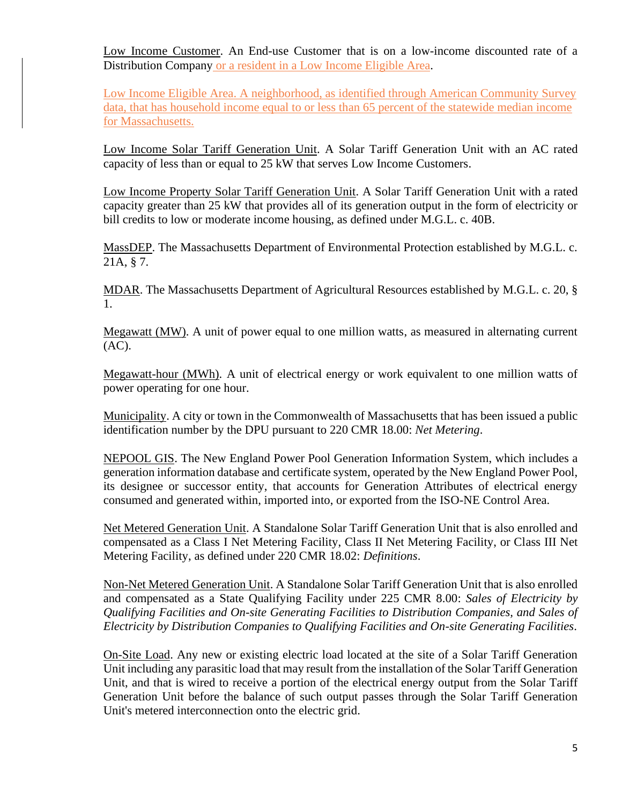Low Income Customer. An End-use Customer that is on a low-income discounted rate of a Distribution Company or a resident in a Low Income Eligible Area.

Low Income Eligible Area. A neighborhood, as identified through American Community Survey data, that has household income equal to or less than 65 percent of the statewide median income for Massachusetts.

Low Income Solar Tariff Generation Unit. A Solar Tariff Generation Unit with an AC rated capacity of less than or equal to 25 kW that serves Low Income Customers.

Low Income Property Solar Tariff Generation Unit. A Solar Tariff Generation Unit with a rated capacity greater than 25 kW that provides all of its generation output in the form of electricity or bill credits to low or moderate income housing, as defined under M.G.L. c. 40B.

MassDEP. The Massachusetts Department of Environmental Protection established by M.G.L. c. 21A, § 7.

MDAR. The Massachusetts Department of Agricultural Resources established by M.G.L. c. 20, § 1.

Megawatt (MW). A unit of power equal to one million watts, as measured in alternating current (AC).

Megawatt-hour (MWh). A unit of electrical energy or work equivalent to one million watts of power operating for one hour.

Municipality. A city or town in the Commonwealth of Massachusetts that has been issued a public identification number by the DPU pursuant to 220 CMR 18.00: *Net Metering*.

NEPOOL GIS. The New England Power Pool Generation Information System, which includes a generation information database and certificate system, operated by the New England Power Pool, its designee or successor entity, that accounts for Generation Attributes of electrical energy consumed and generated within, imported into, or exported from the ISO-NE Control Area.

Net Metered Generation Unit. A Standalone Solar Tariff Generation Unit that is also enrolled and compensated as a Class I Net Metering Facility, Class II Net Metering Facility, or Class III Net Metering Facility, as defined under 220 CMR 18.02: *Definitions*.

Non-Net Metered Generation Unit. A Standalone Solar Tariff Generation Unit that is also enrolled and compensated as a State Qualifying Facility under 225 CMR 8.00: *Sales of Electricity by Qualifying Facilities and On-site Generating Facilities to Distribution Companies, and Sales of Electricity by Distribution Companies to Qualifying Facilities and On-site Generating Facilities*.

On-Site Load. Any new or existing electric load located at the site of a Solar Tariff Generation Unit including any parasitic load that may result from the installation of the Solar Tariff Generation Unit, and that is wired to receive a portion of the electrical energy output from the Solar Tariff Generation Unit before the balance of such output passes through the Solar Tariff Generation Unit's metered interconnection onto the electric grid.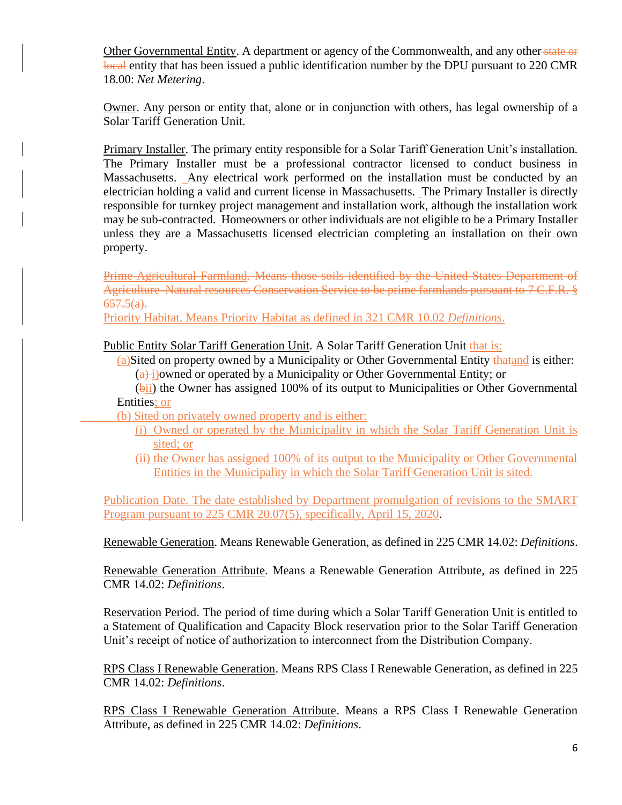Other Governmental Entity. A department or agency of the Commonwealth, and any other state or local entity that has been issued a public identification number by the DPU pursuant to 220 CMR 18.00: *Net Metering*.

Owner. Any person or entity that, alone or in conjunction with others, has legal ownership of a Solar Tariff Generation Unit.

Primary Installer. The primary entity responsible for a Solar Tariff Generation Unit's installation. The Primary Installer must be a professional contractor licensed to conduct business in Massachusetts. Any electrical work performed on the installation must be conducted by an electrician holding a valid and current license in Massachusetts. The Primary Installer is directly responsible for turnkey project management and installation work, although the installation work may be sub-contracted. Homeowners or other individuals are not eligible to be a Primary Installer unless they are a Massachusetts licensed electrician completing an installation on their own property.

Prime Agricultural Farmland. Means those soils identified by the United States Department of Agriculture Natural resources Conservation Service to be prime farmlands pursuant to 7 C.F.R. §  $657.5(a)$ .

Priority Habitat. Means Priority Habitat as defined in 321 CMR 10.02 *Definitions*.

Public Entity Solar Tariff Generation Unit. A Solar Tariff Generation Unit that is:

(a)Sited on property owned by a Municipality or Other Governmental Entity thatand is either:  $\left(\frac{a}{i}\right)$  i)owned or operated by a Municipality or Other Governmental Entity; or

(bii) the Owner has assigned 100% of its output to Municipalities or Other Governmental Entities; or

(b) Sited on privately owned property and is either:

- (i) Owned or operated by the Municipality in which the Solar Tariff Generation Unit is sited; or
- (ii) the Owner has assigned 100% of its output to the Municipality or Other Governmental Entities in the Municipality in which the Solar Tariff Generation Unit is sited.

Publication Date. The date established by Department promulgation of revisions to the SMART Program pursuant to 225 CMR 20.07(5), specifically, April 15, 2020.

Renewable Generation. Means Renewable Generation, as defined in 225 CMR 14.02: *Definitions*.

Renewable Generation Attribute. Means a Renewable Generation Attribute, as defined in 225 CMR 14.02: *Definitions*.

Reservation Period. The period of time during which a Solar Tariff Generation Unit is entitled to a Statement of Qualification and Capacity Block reservation prior to the Solar Tariff Generation Unit's receipt of notice of authorization to interconnect from the Distribution Company.

RPS Class I Renewable Generation. Means RPS Class I Renewable Generation, as defined in 225 CMR 14.02: *Definitions*.

RPS Class I Renewable Generation Attribute. Means a RPS Class I Renewable Generation Attribute, as defined in 225 CMR 14.02: *Definitions*.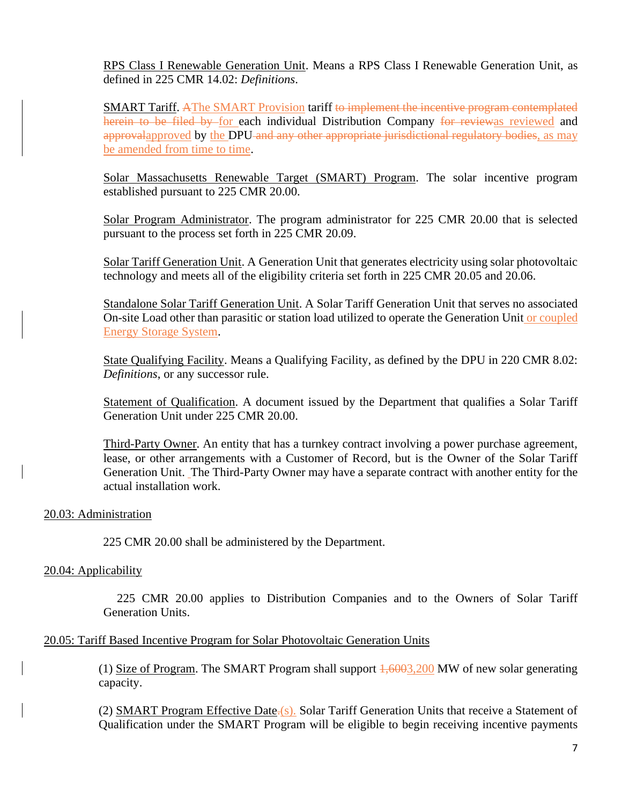RPS Class I Renewable Generation Unit. Means a RPS Class I Renewable Generation Unit, as defined in 225 CMR 14.02: *Definitions*.

SMART Tariff. AThe SMART Provision tariff to implement the incentive program contemplated herein to be filed by for each individual Distribution Company for reviewas reviewed and approvalapproved by the DPU-and any other appropriate jurisdictional regulatory bodies, as may be amended from time to time.

Solar Massachusetts Renewable Target (SMART) Program. The solar incentive program established pursuant to 225 CMR 20.00.

Solar Program Administrator. The program administrator for 225 CMR 20.00 that is selected pursuant to the process set forth in 225 CMR 20.09.

Solar Tariff Generation Unit. A Generation Unit that generates electricity using solar photovoltaic technology and meets all of the eligibility criteria set forth in 225 CMR 20.05 and 20.06.

Standalone Solar Tariff Generation Unit. A Solar Tariff Generation Unit that serves no associated On-site Load other than parasitic or station load utilized to operate the Generation Unit or coupled Energy Storage System.

State Qualifying Facility. Means a Qualifying Facility, as defined by the DPU in 220 CMR 8.02: *Definitions*, or any successor rule.

Statement of Qualification. A document issued by the Department that qualifies a Solar Tariff Generation Unit under 225 CMR 20.00.

Third-Party Owner. An entity that has a turnkey contract involving a power purchase agreement, lease, or other arrangements with a Customer of Record, but is the Owner of the Solar Tariff Generation Unit. The Third-Party Owner may have a separate contract with another entity for the actual installation work.

### 20.03: Administration

225 CMR 20.00 shall be administered by the Department.

### 20.04: Applicability

225 CMR 20.00 applies to Distribution Companies and to the Owners of Solar Tariff Generation Units.

### 20.05: Tariff Based Incentive Program for Solar Photovoltaic Generation Units

(1) Size of Program. The SMART Program shall support  $\frac{1,6003,200}{1}$  MW of new solar generating capacity.

(2) SMART Program Effective Date<sup>-(s)</sup>. Solar Tariff Generation Units that receive a Statement of Qualification under the SMART Program will be eligible to begin receiving incentive payments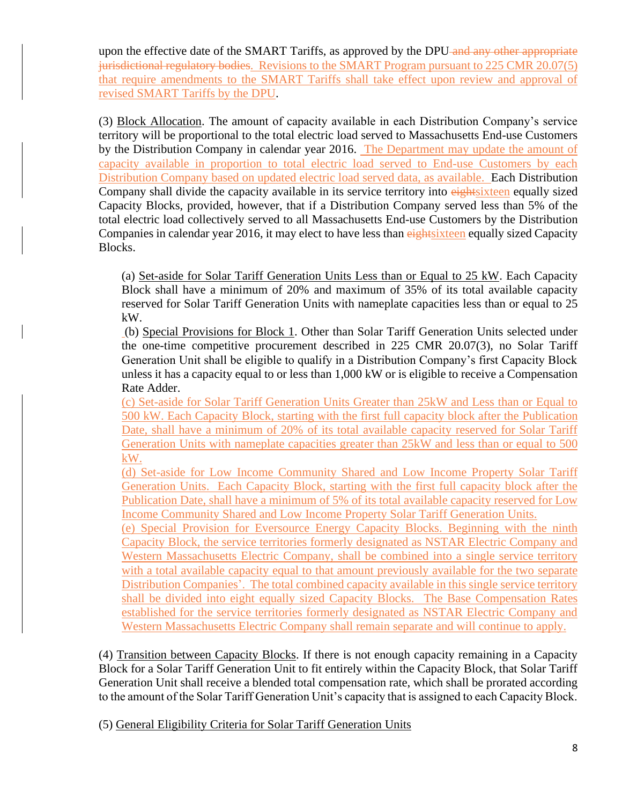upon the effective date of the SMART Tariffs, as approved by the DPU and any other appropriate jurisdictional regulatory bodies. Revisions to the SMART Program pursuant to 225 CMR 20.07(5) that require amendments to the SMART Tariffs shall take effect upon review and approval of revised SMART Tariffs by the DPU.

(3) Block Allocation. The amount of capacity available in each Distribution Company's service territory will be proportional to the total electric load served to Massachusetts End-use Customers by the Distribution Company in calendar year 2016. The Department may update the amount of capacity available in proportion to total electric load served to End-use Customers by each Distribution Company based on updated electric load served data, as available. Each Distribution Company shall divide the capacity available in its service territory into eightsixteen equally sized Capacity Blocks, provided, however, that if a Distribution Company served less than 5% of the total electric load collectively served to all Massachusetts End-use Customers by the Distribution Companies in calendar year 2016, it may elect to have less than eightsixteen equally sized Capacity Blocks.

(a) Set-aside for Solar Tariff Generation Units Less than or Equal to 25 kW. Each Capacity Block shall have a minimum of 20% and maximum of 35% of its total available capacity reserved for Solar Tariff Generation Units with nameplate capacities less than or equal to 25 kW.

(b) Special Provisions for Block 1. Other than Solar Tariff Generation Units selected under the one-time competitive procurement described in 225 CMR 20.07(3), no Solar Tariff Generation Unit shall be eligible to qualify in a Distribution Company's first Capacity Block unless it has a capacity equal to or less than 1,000 kW or is eligible to receive a Compensation Rate Adder.

(c) Set-aside for Solar Tariff Generation Units Greater than 25kW and Less than or Equal to 500 kW. Each Capacity Block, starting with the first full capacity block after the Publication Date, shall have a minimum of 20% of its total available capacity reserved for Solar Tariff Generation Units with nameplate capacities greater than 25kW and less than or equal to 500 kW.

(d) Set-aside for Low Income Community Shared and Low Income Property Solar Tariff Generation Units. Each Capacity Block, starting with the first full capacity block after the Publication Date, shall have a minimum of 5% of its total available capacity reserved for Low Income Community Shared and Low Income Property Solar Tariff Generation Units.

(e) Special Provision for Eversource Energy Capacity Blocks. Beginning with the ninth Capacity Block, the service territories formerly designated as NSTAR Electric Company and Western Massachusetts Electric Company, shall be combined into a single service territory with a total available capacity equal to that amount previously available for the two separate Distribution Companies'. The total combined capacity available in this single service territory shall be divided into eight equally sized Capacity Blocks. The Base Compensation Rates established for the service territories formerly designated as NSTAR Electric Company and Western Massachusetts Electric Company shall remain separate and will continue to apply.

(4) Transition between Capacity Blocks. If there is not enough capacity remaining in a Capacity Block for a Solar Tariff Generation Unit to fit entirely within the Capacity Block, that Solar Tariff Generation Unit shall receive a blended total compensation rate, which shall be prorated according to the amount of the Solar Tariff Generation Unit's capacity that is assigned to each Capacity Block.

(5) General Eligibility Criteria for Solar Tariff Generation Units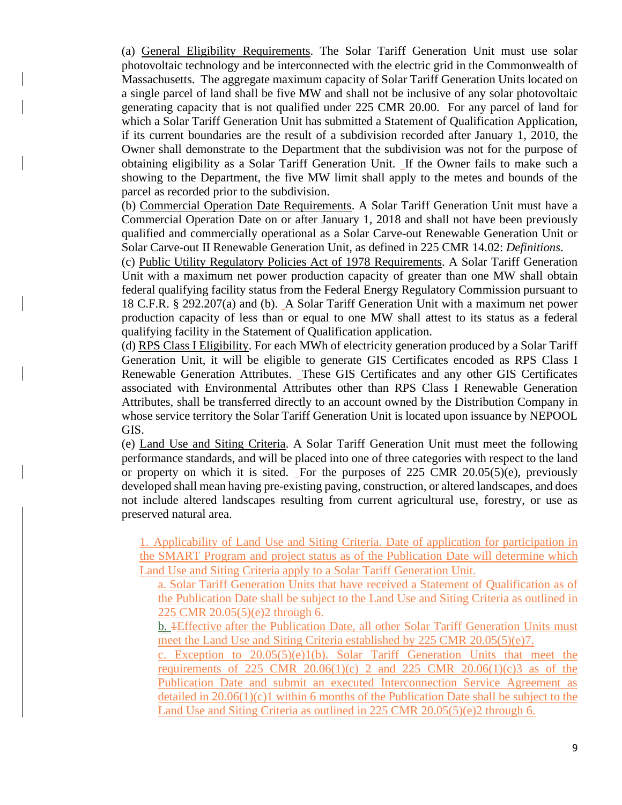(a) General Eligibility Requirements. The Solar Tariff Generation Unit must use solar photovoltaic technology and be interconnected with the electric grid in the Commonwealth of Massachusetts. The aggregate maximum capacity of Solar Tariff Generation Units located on a single parcel of land shall be five MW and shall not be inclusive of any solar photovoltaic generating capacity that is not qualified under 225 CMR 20.00. For any parcel of land for which a Solar Tariff Generation Unit has submitted a Statement of Qualification Application, if its current boundaries are the result of a subdivision recorded after January 1, 2010, the Owner shall demonstrate to the Department that the subdivision was not for the purpose of obtaining eligibility as a Solar Tariff Generation Unit. If the Owner fails to make such a showing to the Department, the five MW limit shall apply to the metes and bounds of the parcel as recorded prior to the subdivision.

(b) Commercial Operation Date Requirements. A Solar Tariff Generation Unit must have a Commercial Operation Date on or after January 1, 2018 and shall not have been previously qualified and commercially operational as a Solar Carve-out Renewable Generation Unit or Solar Carve-out II Renewable Generation Unit, as defined in 225 CMR 14.02: *Definitions*.

(c) Public Utility Regulatory Policies Act of 1978 Requirements. A Solar Tariff Generation Unit with a maximum net power production capacity of greater than one MW shall obtain federal qualifying facility status from the Federal Energy Regulatory Commission pursuant to 18 C.F.R. § 292.207(a) and (b). A Solar Tariff Generation Unit with a maximum net power production capacity of less than or equal to one MW shall attest to its status as a federal qualifying facility in the Statement of Qualification application.

(d) RPS Class I Eligibility. For each MWh of electricity generation produced by a Solar Tariff Generation Unit, it will be eligible to generate GIS Certificates encoded as RPS Class I Renewable Generation Attributes. These GIS Certificates and any other GIS Certificates associated with Environmental Attributes other than RPS Class I Renewable Generation Attributes, shall be transferred directly to an account owned by the Distribution Company in whose service territory the Solar Tariff Generation Unit is located upon issuance by NEPOOL GIS.

(e) Land Use and Siting Criteria. A Solar Tariff Generation Unit must meet the following performance standards, and will be placed into one of three categories with respect to the land or property on which it is sited. For the purposes of 225 CMR 20.05(5)(e), previously developed shall mean having pre-existing paving, construction, or altered landscapes, and does not include altered landscapes resulting from current agricultural use, forestry, or use as preserved natural area.

1. Applicability of Land Use and Siting Criteria. Date of application for participation in the SMART Program and project status as of the Publication Date will determine which Land Use and Siting Criteria apply to a Solar Tariff Generation Unit.

a. Solar Tariff Generation Units that have received a Statement of Qualification as of the Publication Date shall be subject to the Land Use and Siting Criteria as outlined in 225 CMR 20.05(5)(e)2 through 6.

b. 1Effective after the Publication Date, all other Solar Tariff Generation Units must meet the Land Use and Siting Criteria established by 225 CMR 20.05(5)(e)7.

c. Exception to  $20.05(5)(e)1(b)$ . Solar Tariff Generation Units that meet the requirements of 225 CMR 20.06(1)(c) 2 and 225 CMR 20.06(1)(c)3 as of the Publication Date and submit an executed Interconnection Service Agreement as detailed in 20.06(1)(c)1 within 6 months of the Publication Date shall be subject to the Land Use and Siting Criteria as outlined in 225 CMR 20.05(5)(e)2 through 6.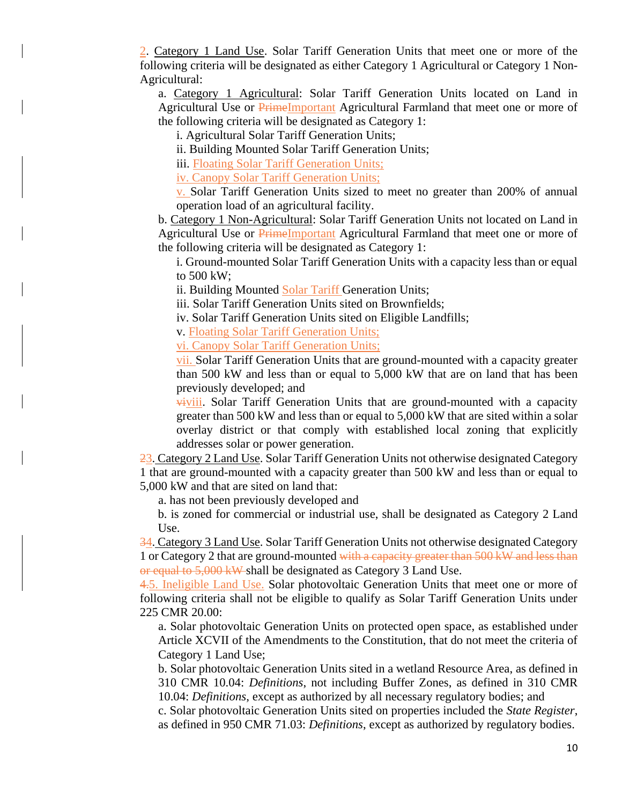2. Category 1 Land Use. Solar Tariff Generation Units that meet one or more of the following criteria will be designated as either Category 1 Agricultural or Category 1 Non-Agricultural:

a. Category 1 Agricultural: Solar Tariff Generation Units located on Land in Agricultural Use or PrimeImportant Agricultural Farmland that meet one or more of the following criteria will be designated as Category 1:

i. Agricultural Solar Tariff Generation Units;

ii. Building Mounted Solar Tariff Generation Units;

iii. Floating Solar Tariff Generation Units;

iv. Canopy Solar Tariff Generation Units;

v. Solar Tariff Generation Units sized to meet no greater than 200% of annual operation load of an agricultural facility.

b. Category 1 Non-Agricultural: Solar Tariff Generation Units not located on Land in Agricultural Use or **PrimeImportant** Agricultural Farmland that meet one or more of the following criteria will be designated as Category 1:

i. Ground-mounted Solar Tariff Generation Units with a capacity less than or equal to 500 kW;

ii. Building Mounted Solar Tariff Generation Units;

iii. Solar Tariff Generation Units sited on Brownfields;

iv. Solar Tariff Generation Units sited on Eligible Landfills;

v. Floating Solar Tariff Generation Units;

vi. Canopy Solar Tariff Generation Units;

vii. Solar Tariff Generation Units that are ground-mounted with a capacity greater than 500 kW and less than or equal to 5,000 kW that are on land that has been previously developed; and

viviii. Solar Tariff Generation Units that are ground-mounted with a capacity greater than 500 kW and less than or equal to 5,000 kW that are sited within a solar overlay district or that comply with established local zoning that explicitly addresses solar or power generation.

23. Category 2 Land Use. Solar Tariff Generation Units not otherwise designated Category 1 that are ground-mounted with a capacity greater than 500 kW and less than or equal to 5,000 kW and that are sited on land that:

a. has not been previously developed and

b. is zoned for commercial or industrial use, shall be designated as Category 2 Land Use.

34. Category 3 Land Use. Solar Tariff Generation Units not otherwise designated Category 1 or Category 2 that are ground-mounted with a capacity greater than 500 kW and less than or equal to 5,000 kW shall be designated as Category 3 Land Use.

4.5. Ineligible Land Use. Solar photovoltaic Generation Units that meet one or more of following criteria shall not be eligible to qualify as Solar Tariff Generation Units under 225 CMR 20.00:

a. Solar photovoltaic Generation Units on protected open space, as established under Article XCVII of the Amendments to the Constitution, that do not meet the criteria of Category 1 Land Use;

b. Solar photovoltaic Generation Units sited in a wetland Resource Area, as defined in 310 CMR 10.04: *Definitions*, not including Buffer Zones, as defined in 310 CMR 10.04: *Definitions*, except as authorized by all necessary regulatory bodies; and

c. Solar photovoltaic Generation Units sited on properties included the *State Register*, as defined in 950 CMR 71.03: *Definitions*, except as authorized by regulatory bodies.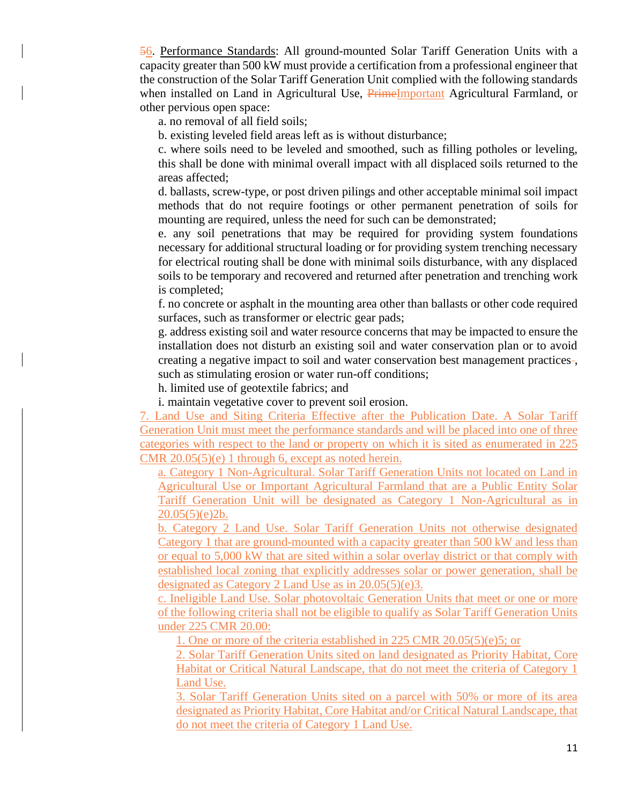56. Performance Standards: All ground-mounted Solar Tariff Generation Units with a capacity greater than 500 kW must provide a certification from a professional engineer that the construction of the Solar Tariff Generation Unit complied with the following standards when installed on Land in Agricultural Use, PrimeImportant Agricultural Farmland, or other pervious open space:

a. no removal of all field soils;

b. existing leveled field areas left as is without disturbance;

c. where soils need to be leveled and smoothed, such as filling potholes or leveling, this shall be done with minimal overall impact with all displaced soils returned to the areas affected;

d. ballasts, screw-type, or post driven pilings and other acceptable minimal soil impact methods that do not require footings or other permanent penetration of soils for mounting are required, unless the need for such can be demonstrated;

e. any soil penetrations that may be required for providing system foundations necessary for additional structural loading or for providing system trenching necessary for electrical routing shall be done with minimal soils disturbance, with any displaced soils to be temporary and recovered and returned after penetration and trenching work is completed;

f. no concrete or asphalt in the mounting area other than ballasts or other code required surfaces, such as transformer or electric gear pads;

g. address existing soil and water resource concerns that may be impacted to ensure the installation does not disturb an existing soil and water conservation plan or to avoid creating a negative impact to soil and water conservation best management practices-, such as stimulating erosion or water run-off conditions;

h. limited use of geotextile fabrics; and

i. maintain vegetative cover to prevent soil erosion.

7. Land Use and Siting Criteria Effective after the Publication Date. A Solar Tariff Generation Unit must meet the performance standards and will be placed into one of three categories with respect to the land or property on which it is sited as enumerated in 225 CMR 20.05(5)(e) 1 through 6, except as noted herein.

a. Category 1 Non-Agricultural. Solar Tariff Generation Units not located on Land in Agricultural Use or Important Agricultural Farmland that are a Public Entity Solar Tariff Generation Unit will be designated as Category 1 Non-Agricultural as in 20.05(5)(e)2b.

b. Category 2 Land Use. Solar Tariff Generation Units not otherwise designated Category 1 that are ground-mounted with a capacity greater than 500 kW and less than or equal to 5,000 kW that are sited within a solar overlay district or that comply with established local zoning that explicitly addresses solar or power generation, shall be designated as Category 2 Land Use as in 20.05(5)(e)3.

c. Ineligible Land Use. Solar photovoltaic Generation Units that meet or one or more of the following criteria shall not be eligible to qualify as Solar Tariff Generation Units under 225 CMR 20.00:

1. One or more of the criteria established in 225 CMR 20.05(5)(e)5; or

2. Solar Tariff Generation Units sited on land designated as Priority Habitat, Core Habitat or Critical Natural Landscape, that do not meet the criteria of Category 1 Land Use.

3. Solar Tariff Generation Units sited on a parcel with 50% or more of its area designated as Priority Habitat, Core Habitat and/or Critical Natural Landscape, that do not meet the criteria of Category 1 Land Use.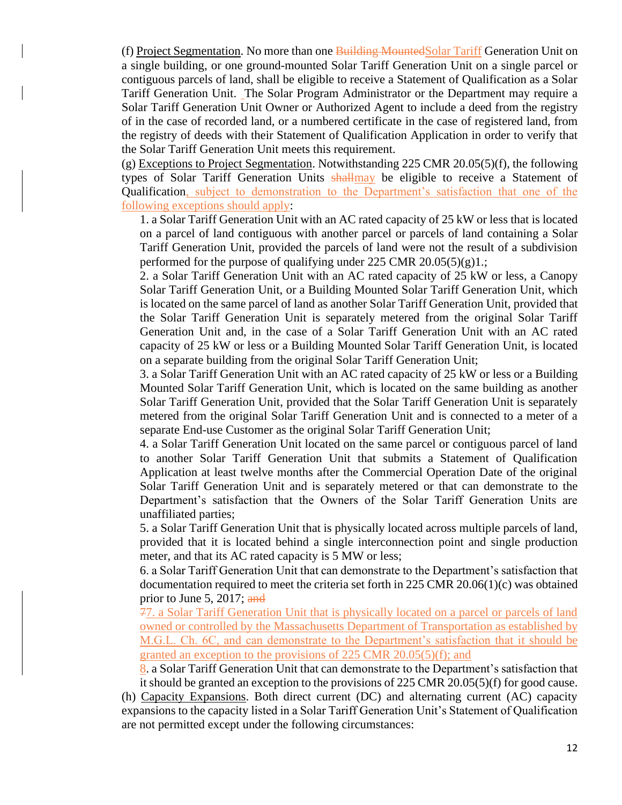(f) Project Segmentation. No more than one Building MountedSolar Tariff Generation Unit on a single building, or one ground-mounted Solar Tariff Generation Unit on a single parcel or contiguous parcels of land, shall be eligible to receive a Statement of Qualification as a Solar Tariff Generation Unit. The Solar Program Administrator or the Department may require a Solar Tariff Generation Unit Owner or Authorized Agent to include a deed from the registry of in the case of recorded land, or a numbered certificate in the case of registered land, from the registry of deeds with their Statement of Qualification Application in order to verify that the Solar Tariff Generation Unit meets this requirement.

(g) Exceptions to Project Segmentation. Notwithstanding 225 CMR 20.05(5)(f), the following types of Solar Tariff Generation Units shallmay be eligible to receive a Statement of Qualification, subject to demonstration to the Department's satisfaction that one of the following exceptions should apply:

1. a Solar Tariff Generation Unit with an AC rated capacity of 25 kW or less that is located on a parcel of land contiguous with another parcel or parcels of land containing a Solar Tariff Generation Unit, provided the parcels of land were not the result of a subdivision performed for the purpose of qualifying under 225 CMR 20.05(5)(g)1.;

2. a Solar Tariff Generation Unit with an AC rated capacity of 25 kW or less, a Canopy Solar Tariff Generation Unit, or a Building Mounted Solar Tariff Generation Unit, which is located on the same parcel of land as another Solar Tariff Generation Unit, provided that the Solar Tariff Generation Unit is separately metered from the original Solar Tariff Generation Unit and, in the case of a Solar Tariff Generation Unit with an AC rated capacity of 25 kW or less or a Building Mounted Solar Tariff Generation Unit, is located on a separate building from the original Solar Tariff Generation Unit;

3. a Solar Tariff Generation Unit with an AC rated capacity of 25 kW or less or a Building Mounted Solar Tariff Generation Unit, which is located on the same building as another Solar Tariff Generation Unit, provided that the Solar Tariff Generation Unit is separately metered from the original Solar Tariff Generation Unit and is connected to a meter of a separate End-use Customer as the original Solar Tariff Generation Unit;

4. a Solar Tariff Generation Unit located on the same parcel or contiguous parcel of land to another Solar Tariff Generation Unit that submits a Statement of Qualification Application at least twelve months after the Commercial Operation Date of the original Solar Tariff Generation Unit and is separately metered or that can demonstrate to the Department's satisfaction that the Owners of the Solar Tariff Generation Units are unaffiliated parties;

5. a Solar Tariff Generation Unit that is physically located across multiple parcels of land, provided that it is located behind a single interconnection point and single production meter, and that its AC rated capacity is 5 MW or less;

6. a Solar Tariff Generation Unit that can demonstrate to the Department's satisfaction that documentation required to meet the criteria set forth in 225 CMR 20.06(1)(c) was obtained prior to June 5, 2017; and

77. a Solar Tariff Generation Unit that is physically located on a parcel or parcels of land owned or controlled by the Massachusetts Department of Transportation as established by M.G.L. Ch. 6C, and can demonstrate to the Department's satisfaction that it should be granted an exception to the provisions of 225 CMR 20.05(5)(f); and

8. a Solar Tariff Generation Unit that can demonstrate to the Department's satisfaction that it should be granted an exception to the provisions of 225 CMR 20.05(5)(f) for good cause.

(h) Capacity Expansions. Both direct current (DC) and alternating current (AC) capacity expansions to the capacity listed in a Solar Tariff Generation Unit's Statement of Qualification are not permitted except under the following circumstances: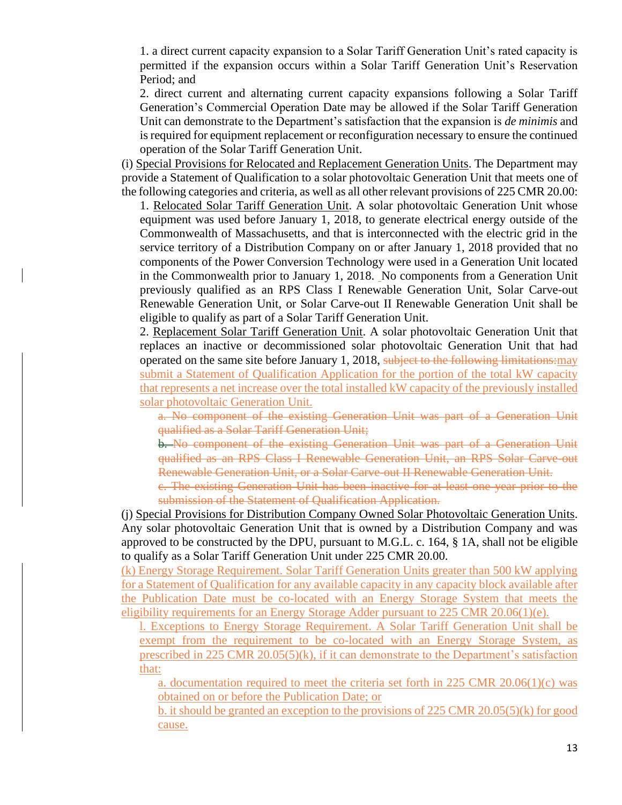1. a direct current capacity expansion to a Solar Tariff Generation Unit's rated capacity is permitted if the expansion occurs within a Solar Tariff Generation Unit's Reservation Period; and

2. direct current and alternating current capacity expansions following a Solar Tariff Generation's Commercial Operation Date may be allowed if the Solar Tariff Generation Unit can demonstrate to the Department's satisfaction that the expansion is *de minimis* and is required for equipment replacement or reconfiguration necessary to ensure the continued operation of the Solar Tariff Generation Unit.

(i) Special Provisions for Relocated and Replacement Generation Units. The Department may provide a Statement of Qualification to a solar photovoltaic Generation Unit that meets one of the following categories and criteria, as well as all other relevant provisions of 225 CMR 20.00:

1. Relocated Solar Tariff Generation Unit. A solar photovoltaic Generation Unit whose equipment was used before January 1, 2018, to generate electrical energy outside of the Commonwealth of Massachusetts, and that is interconnected with the electric grid in the service territory of a Distribution Company on or after January 1, 2018 provided that no components of the Power Conversion Technology were used in a Generation Unit located in the Commonwealth prior to January 1, 2018. No components from a Generation Unit previously qualified as an RPS Class I Renewable Generation Unit, Solar Carve-out Renewable Generation Unit, or Solar Carve-out II Renewable Generation Unit shall be eligible to qualify as part of a Solar Tariff Generation Unit.

2. Replacement Solar Tariff Generation Unit. A solar photovoltaic Generation Unit that replaces an inactive or decommissioned solar photovoltaic Generation Unit that had operated on the same site before January 1, 2018, subject to the following limitations:may submit a Statement of Qualification Application for the portion of the total kW capacity that represents a net increase over the total installed kW capacity of the previously installed solar photovoltaic Generation Unit.

a. No component of the existing Generation Unit was part of a Generation Unit qualified as a Solar Tariff Generation Unit;

b. No component of the existing Generation Unit was part of a Generation Unit qualified as an RPS Class I Renewable Generation Unit, an RPS Solar Carve-out Renewable Generation Unit, or a Solar Carve-out II Renewable Generation Unit.

c. The existing Generation Unit has been inactive for at least one year prior to the submission of the Statement of Qualification Application.

(j) Special Provisions for Distribution Company Owned Solar Photovoltaic Generation Units. Any solar photovoltaic Generation Unit that is owned by a Distribution Company and was approved to be constructed by the DPU, pursuant to M.G.L. c. 164, § 1A, shall not be eligible to qualify as a Solar Tariff Generation Unit under 225 CMR 20.00.

(k) Energy Storage Requirement. Solar Tariff Generation Units greater than 500 kW applying for a Statement of Qualification for any available capacity in any capacity block available after the Publication Date must be co-located with an Energy Storage System that meets the eligibility requirements for an Energy Storage Adder pursuant to 225 CMR 20.06(1)(e).

l. Exceptions to Energy Storage Requirement. A Solar Tariff Generation Unit shall be exempt from the requirement to be co-located with an Energy Storage System, as prescribed in 225 CMR 20.05(5)(k), if it can demonstrate to the Department's satisfaction that:

a. documentation required to meet the criteria set forth in 225 CMR 20.06(1)(c) was obtained on or before the Publication Date; or

b. it should be granted an exception to the provisions of 225 CMR 20.05(5)(k) for good cause.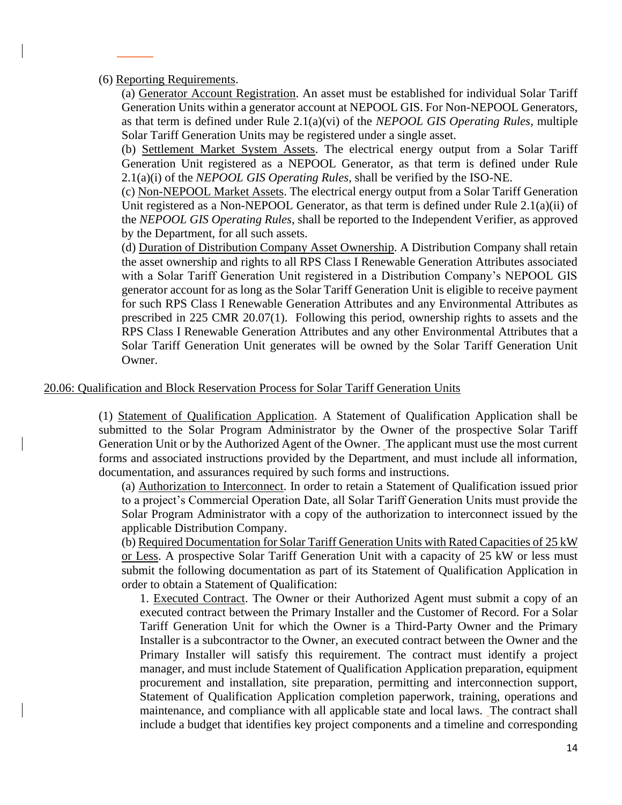### (6) Reporting Requirements.

(a) Generator Account Registration. An asset must be established for individual Solar Tariff Generation Units within a generator account at NEPOOL GIS. For Non-NEPOOL Generators, as that term is defined under Rule 2.1(a)(vi) of the *NEPOOL GIS Operating Rules*, multiple Solar Tariff Generation Units may be registered under a single asset.

(b) Settlement Market System Assets. The electrical energy output from a Solar Tariff Generation Unit registered as a NEPOOL Generator, as that term is defined under Rule 2.1(a)(i) of the *NEPOOL GIS Operating Rules*, shall be verified by the ISO-NE.

(c) Non-NEPOOL Market Assets. The electrical energy output from a Solar Tariff Generation Unit registered as a Non-NEPOOL Generator, as that term is defined under Rule 2.1(a)(ii) of the *NEPOOL GIS Operating Rules*, shall be reported to the Independent Verifier, as approved by the Department, for all such assets.

(d) Duration of Distribution Company Asset Ownership. A Distribution Company shall retain the asset ownership and rights to all RPS Class I Renewable Generation Attributes associated with a Solar Tariff Generation Unit registered in a Distribution Company's NEPOOL GIS generator account for as long as the Solar Tariff Generation Unit is eligible to receive payment for such RPS Class I Renewable Generation Attributes and any Environmental Attributes as prescribed in 225 CMR 20.07(1). Following this period, ownership rights to assets and the RPS Class I Renewable Generation Attributes and any other Environmental Attributes that a Solar Tariff Generation Unit generates will be owned by the Solar Tariff Generation Unit Owner.

# 20.06: Qualification and Block Reservation Process for Solar Tariff Generation Units

(1) Statement of Qualification Application. A Statement of Qualification Application shall be submitted to the Solar Program Administrator by the Owner of the prospective Solar Tariff Generation Unit or by the Authorized Agent of the Owner. The applicant must use the most current forms and associated instructions provided by the Department, and must include all information, documentation, and assurances required by such forms and instructions.

(a) Authorization to Interconnect. In order to retain a Statement of Qualification issued prior to a project's Commercial Operation Date, all Solar Tariff Generation Units must provide the Solar Program Administrator with a copy of the authorization to interconnect issued by the applicable Distribution Company.

(b) Required Documentation for Solar Tariff Generation Units with Rated Capacities of 25 kW or Less. A prospective Solar Tariff Generation Unit with a capacity of 25 kW or less must submit the following documentation as part of its Statement of Qualification Application in order to obtain a Statement of Qualification:

1. Executed Contract. The Owner or their Authorized Agent must submit a copy of an executed contract between the Primary Installer and the Customer of Record. For a Solar Tariff Generation Unit for which the Owner is a Third-Party Owner and the Primary Installer is a subcontractor to the Owner, an executed contract between the Owner and the Primary Installer will satisfy this requirement. The contract must identify a project manager, and must include Statement of Qualification Application preparation, equipment procurement and installation, site preparation, permitting and interconnection support, Statement of Qualification Application completion paperwork, training, operations and maintenance, and compliance with all applicable state and local laws. The contract shall include a budget that identifies key project components and a timeline and corresponding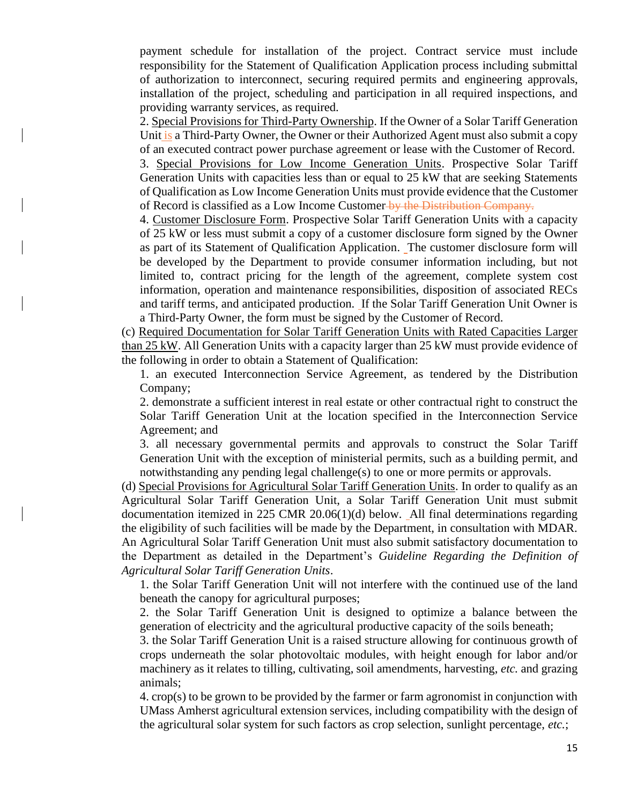payment schedule for installation of the project. Contract service must include responsibility for the Statement of Qualification Application process including submittal of authorization to interconnect, securing required permits and engineering approvals, installation of the project, scheduling and participation in all required inspections, and providing warranty services, as required.

2. Special Provisions for Third-Party Ownership. If the Owner of a Solar Tariff Generation Unit is a Third-Party Owner, the Owner or their Authorized Agent must also submit a copy of an executed contract power purchase agreement or lease with the Customer of Record.

3. Special Provisions for Low Income Generation Units. Prospective Solar Tariff Generation Units with capacities less than or equal to 25 kW that are seeking Statements of Qualification as Low Income Generation Units must provide evidence that the Customer of Record is classified as a Low Income Customer by the Distribution Company.

4. Customer Disclosure Form. Prospective Solar Tariff Generation Units with a capacity of 25 kW or less must submit a copy of a customer disclosure form signed by the Owner as part of its Statement of Qualification Application. The customer disclosure form will be developed by the Department to provide consumer information including, but not limited to, contract pricing for the length of the agreement, complete system cost information, operation and maintenance responsibilities, disposition of associated RECs and tariff terms, and anticipated production. If the Solar Tariff Generation Unit Owner is a Third-Party Owner, the form must be signed by the Customer of Record.

(c) Required Documentation for Solar Tariff Generation Units with Rated Capacities Larger than 25 kW. All Generation Units with a capacity larger than 25 kW must provide evidence of the following in order to obtain a Statement of Qualification:

1. an executed Interconnection Service Agreement, as tendered by the Distribution Company;

2. demonstrate a sufficient interest in real estate or other contractual right to construct the Solar Tariff Generation Unit at the location specified in the Interconnection Service Agreement; and

3. all necessary governmental permits and approvals to construct the Solar Tariff Generation Unit with the exception of ministerial permits, such as a building permit, and notwithstanding any pending legal challenge(s) to one or more permits or approvals.

(d) Special Provisions for Agricultural Solar Tariff Generation Units. In order to qualify as an Agricultural Solar Tariff Generation Unit, a Solar Tariff Generation Unit must submit documentation itemized in 225 CMR 20.06(1)(d) below. All final determinations regarding the eligibility of such facilities will be made by the Department, in consultation with MDAR. An Agricultural Solar Tariff Generation Unit must also submit satisfactory documentation to the Department as detailed in the Department's *Guideline Regarding the Definition of Agricultural Solar Tariff Generation Units*.

1. the Solar Tariff Generation Unit will not interfere with the continued use of the land beneath the canopy for agricultural purposes;

2. the Solar Tariff Generation Unit is designed to optimize a balance between the generation of electricity and the agricultural productive capacity of the soils beneath;

3. the Solar Tariff Generation Unit is a raised structure allowing for continuous growth of crops underneath the solar photovoltaic modules, with height enough for labor and/or machinery as it relates to tilling, cultivating, soil amendments, harvesting, *etc.* and grazing animals;

4. crop(s) to be grown to be provided by the farmer or farm agronomist in conjunction with UMass Amherst agricultural extension services, including compatibility with the design of the agricultural solar system for such factors as crop selection, sunlight percentage, *etc.*;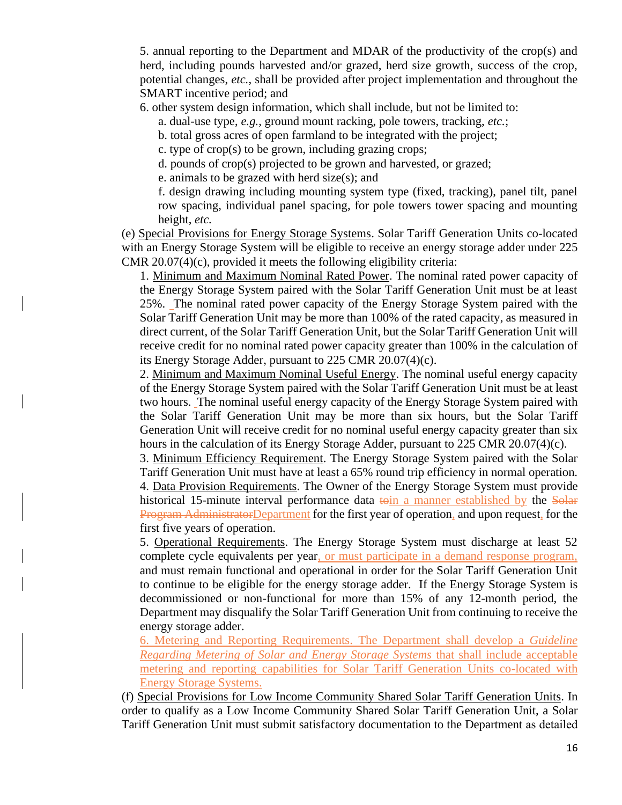5. annual reporting to the Department and MDAR of the productivity of the crop(s) and herd, including pounds harvested and/or grazed, herd size growth, success of the crop, potential changes, *etc.*, shall be provided after project implementation and throughout the SMART incentive period; and

6. other system design information, which shall include, but not be limited to:

a. dual-use type, *e.g.*, ground mount racking, pole towers, tracking, *etc.*;

b. total gross acres of open farmland to be integrated with the project;

c. type of crop(s) to be grown, including grazing crops;

d. pounds of crop(s) projected to be grown and harvested, or grazed;

e. animals to be grazed with herd size(s); and

f. design drawing including mounting system type (fixed, tracking), panel tilt, panel row spacing, individual panel spacing, for pole towers tower spacing and mounting height, *etc.*

(e) Special Provisions for Energy Storage Systems. Solar Tariff Generation Units co-located with an Energy Storage System will be eligible to receive an energy storage adder under 225 CMR 20.07(4)(c), provided it meets the following eligibility criteria:

1. Minimum and Maximum Nominal Rated Power. The nominal rated power capacity of the Energy Storage System paired with the Solar Tariff Generation Unit must be at least 25%. The nominal rated power capacity of the Energy Storage System paired with the Solar Tariff Generation Unit may be more than 100% of the rated capacity, as measured in direct current, of the Solar Tariff Generation Unit, but the Solar Tariff Generation Unit will receive credit for no nominal rated power capacity greater than 100% in the calculation of its Energy Storage Adder, pursuant to 225 CMR 20.07(4)(c).

2. Minimum and Maximum Nominal Useful Energy. The nominal useful energy capacity of the Energy Storage System paired with the Solar Tariff Generation Unit must be at least two hours. The nominal useful energy capacity of the Energy Storage System paired with the Solar Tariff Generation Unit may be more than six hours, but the Solar Tariff Generation Unit will receive credit for no nominal useful energy capacity greater than six hours in the calculation of its Energy Storage Adder, pursuant to 225 CMR 20.07(4)(c).

3. Minimum Efficiency Requirement. The Energy Storage System paired with the Solar Tariff Generation Unit must have at least a 65% round trip efficiency in normal operation. 4. Data Provision Requirements. The Owner of the Energy Storage System must provide historical 15-minute interval performance data toin a manner established by the Solar Program AdministratorDepartment for the first year of operation, and upon request, for the first five years of operation.

5. Operational Requirements. The Energy Storage System must discharge at least 52 complete cycle equivalents per year, or must participate in a demand response program, and must remain functional and operational in order for the Solar Tariff Generation Unit to continue to be eligible for the energy storage adder. If the Energy Storage System is decommissioned or non-functional for more than 15% of any 12-month period, the Department may disqualify the Solar Tariff Generation Unit from continuing to receive the energy storage adder.

6. Metering and Reporting Requirements. The Department shall develop a *Guideline Regarding Metering of Solar and Energy Storage Systems* that shall include acceptable metering and reporting capabilities for Solar Tariff Generation Units co-located with Energy Storage Systems.

(f) Special Provisions for Low Income Community Shared Solar Tariff Generation Units. In order to qualify as a Low Income Community Shared Solar Tariff Generation Unit, a Solar Tariff Generation Unit must submit satisfactory documentation to the Department as detailed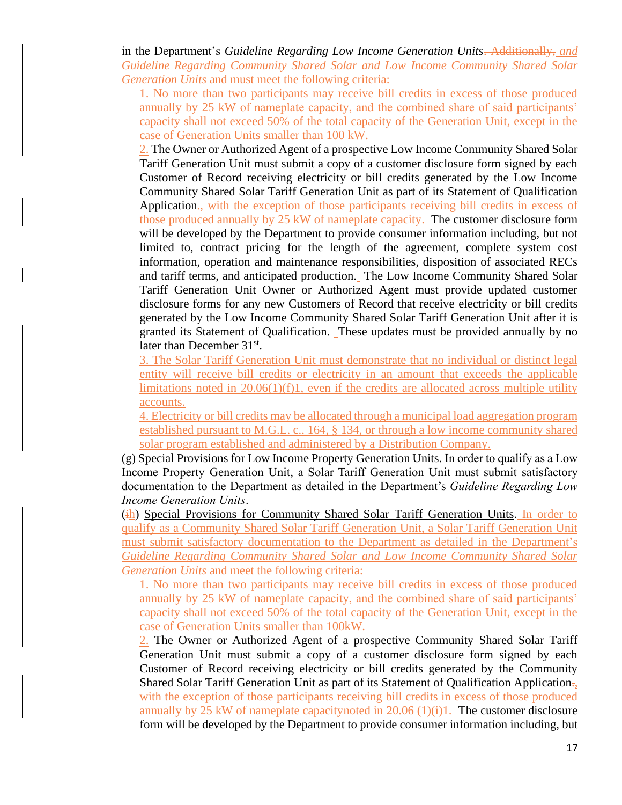in the Department's *Guideline Regarding Low Income Generation Units*. Additionally, *and Guideline Regarding Community Shared Solar and Low Income Community Shared Solar Generation Units* and must meet the following criteria:

1. No more than two participants may receive bill credits in excess of those produced annually by 25 kW of nameplate capacity, and the combined share of said participants' capacity shall not exceed 50% of the total capacity of the Generation Unit, except in the case of Generation Units smaller than 100 kW.

2. The Owner or Authorized Agent of a prospective Low Income Community Shared Solar Tariff Generation Unit must submit a copy of a customer disclosure form signed by each Customer of Record receiving electricity or bill credits generated by the Low Income Community Shared Solar Tariff Generation Unit as part of its Statement of Qualification Application<sub>.</sub>, with the exception of those participants receiving bill credits in excess of those produced annually by 25 kW of nameplate capacity. The customer disclosure form will be developed by the Department to provide consumer information including, but not limited to, contract pricing for the length of the agreement, complete system cost information, operation and maintenance responsibilities, disposition of associated RECs and tariff terms, and anticipated production. The Low Income Community Shared Solar Tariff Generation Unit Owner or Authorized Agent must provide updated customer disclosure forms for any new Customers of Record that receive electricity or bill credits generated by the Low Income Community Shared Solar Tariff Generation Unit after it is granted its Statement of Qualification. These updates must be provided annually by no later than December 31<sup>st</sup>.

3. The Solar Tariff Generation Unit must demonstrate that no individual or distinct legal entity will receive bill credits or electricity in an amount that exceeds the applicable limitations noted in  $20.06(1)(f)1$ , even if the credits are allocated across multiple utility accounts.

4. Electricity or bill credits may be allocated through a municipal load aggregation program established pursuant to M.G.L. c.. 164, § 134, or through a low income community shared solar program established and administered by a Distribution Company.

(g) Special Provisions for Low Income Property Generation Units. In order to qualify as a Low Income Property Generation Unit, a Solar Tariff Generation Unit must submit satisfactory documentation to the Department as detailed in the Department's *Guideline Regarding Low Income Generation Units*.

(ih) Special Provisions for Community Shared Solar Tariff Generation Units. In order to qualify as a Community Shared Solar Tariff Generation Unit, a Solar Tariff Generation Unit must submit satisfactory documentation to the Department as detailed in the Department's *Guideline Regarding Community Shared Solar and Low Income Community Shared Solar Generation Units* and meet the following criteria:

1. No more than two participants may receive bill credits in excess of those produced annually by 25 kW of nameplate capacity, and the combined share of said participants' capacity shall not exceed 50% of the total capacity of the Generation Unit, except in the case of Generation Units smaller than 100kW.

2. The Owner or Authorized Agent of a prospective Community Shared Solar Tariff Generation Unit must submit a copy of a customer disclosure form signed by each Customer of Record receiving electricity or bill credits generated by the Community Shared Solar Tariff Generation Unit as part of its Statement of Qualification Application., with the exception of those participants receiving bill credits in excess of those produced annually by 25 kW of nameplate capacity noted in 20.06  $(1)(i)$ 1. The customer disclosure form will be developed by the Department to provide consumer information including, but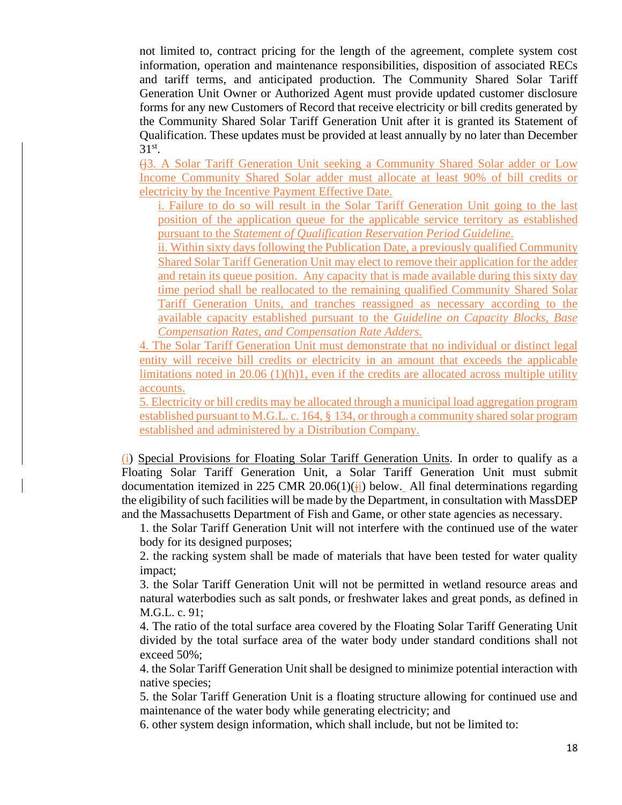not limited to, contract pricing for the length of the agreement, complete system cost information, operation and maintenance responsibilities, disposition of associated RECs and tariff terms, and anticipated production. The Community Shared Solar Tariff Generation Unit Owner or Authorized Agent must provide updated customer disclosure forms for any new Customers of Record that receive electricity or bill credits generated by the Community Shared Solar Tariff Generation Unit after it is granted its Statement of Qualification. These updates must be provided at least annually by no later than December  $31^\text{st}$ .

(j3. A Solar Tariff Generation Unit seeking a Community Shared Solar adder or Low Income Community Shared Solar adder must allocate at least 90% of bill credits or electricity by the Incentive Payment Effective Date.

i. Failure to do so will result in the Solar Tariff Generation Unit going to the last position of the application queue for the applicable service territory as established pursuant to the *Statement of Qualification Reservation Period Guideline*.

ii. Within sixty days following the Publication Date, a previously qualified Community Shared Solar Tariff Generation Unit may elect to remove their application for the adder and retain its queue position. Any capacity that is made available during this sixty day time period shall be reallocated to the remaining qualified Community Shared Solar Tariff Generation Units, and tranches reassigned as necessary according to the available capacity established pursuant to the *Guideline on Capacity Blocks, Base Compensation Rates, and Compensation Rate Adders.*

4. The Solar Tariff Generation Unit must demonstrate that no individual or distinct legal entity will receive bill credits or electricity in an amount that exceeds the applicable limitations noted in 20.06 (1)(h)1, even if the credits are allocated across multiple utility accounts.

5. Electricity or bill credits may be allocated through a municipal load aggregation program established pursuant to M.G.L. c. 164, § 134, or through a community shared solar program established and administered by a Distribution Company.

(i) Special Provisions for Floating Solar Tariff Generation Units. In order to qualify as a Floating Solar Tariff Generation Unit, a Solar Tariff Generation Unit must submit documentation itemized in 225 CMR 20.06(1)( $\frac{1}{11}$ ) below. All final determinations regarding the eligibility of such facilities will be made by the Department, in consultation with MassDEP and the Massachusetts Department of Fish and Game, or other state agencies as necessary.

1. the Solar Tariff Generation Unit will not interfere with the continued use of the water body for its designed purposes;

2. the racking system shall be made of materials that have been tested for water quality impact;

3. the Solar Tariff Generation Unit will not be permitted in wetland resource areas and natural waterbodies such as salt ponds, or freshwater lakes and great ponds, as defined in M.G.L. c. 91;

4. The ratio of the total surface area covered by the Floating Solar Tariff Generating Unit divided by the total surface area of the water body under standard conditions shall not exceed 50%;

4. the Solar Tariff Generation Unit shall be designed to minimize potential interaction with native species;

5. the Solar Tariff Generation Unit is a floating structure allowing for continued use and maintenance of the water body while generating electricity; and

6. other system design information, which shall include, but not be limited to: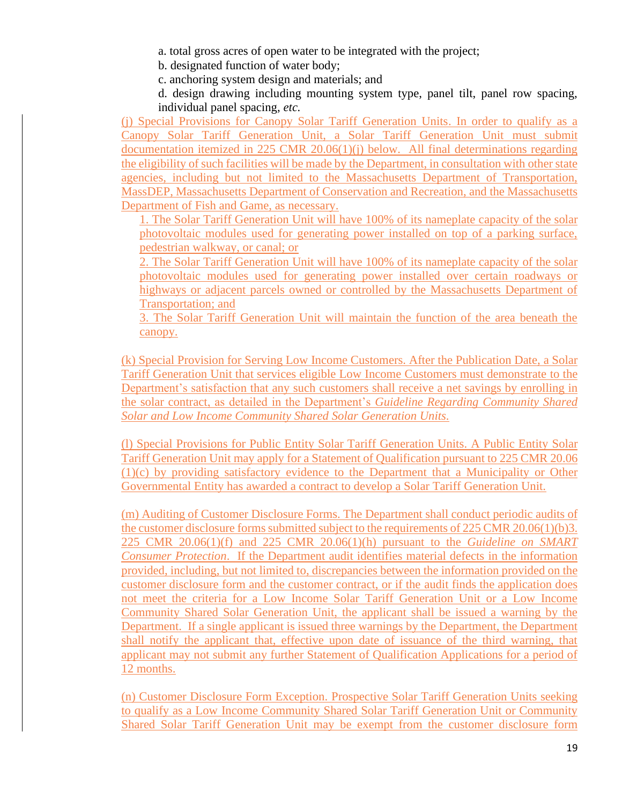a. total gross acres of open water to be integrated with the project;

b. designated function of water body;

c. anchoring system design and materials; and

d. design drawing including mounting system type, panel tilt, panel row spacing, individual panel spacing, *etc.*

(j) Special Provisions for Canopy Solar Tariff Generation Units. In order to qualify as a Canopy Solar Tariff Generation Unit, a Solar Tariff Generation Unit must submit documentation itemized in 225 CMR 20.06(1)(j) below. All final determinations regarding the eligibility of such facilities will be made by the Department, in consultation with other state agencies, including but not limited to the Massachusetts Department of Transportation, MassDEP, Massachusetts Department of Conservation and Recreation, and the Massachusetts Department of Fish and Game, as necessary.

1. The Solar Tariff Generation Unit will have 100% of its nameplate capacity of the solar photovoltaic modules used for generating power installed on top of a parking surface, pedestrian walkway, or canal; or

2. The Solar Tariff Generation Unit will have 100% of its nameplate capacity of the solar photovoltaic modules used for generating power installed over certain roadways or highways or adjacent parcels owned or controlled by the Massachusetts Department of Transportation; and

3. The Solar Tariff Generation Unit will maintain the function of the area beneath the canopy.

(k) Special Provision for Serving Low Income Customers. After the Publication Date, a Solar Tariff Generation Unit that services eligible Low Income Customers must demonstrate to the Department's satisfaction that any such customers shall receive a net savings by enrolling in the solar contract, as detailed in the Department's *Guideline Regarding Community Shared Solar and Low Income Community Shared Solar Generation Units.*

(l) Special Provisions for Public Entity Solar Tariff Generation Units. A Public Entity Solar Tariff Generation Unit may apply for a Statement of Qualification pursuant to 225 CMR 20.06 (1)(c) by providing satisfactory evidence to the Department that a Municipality or Other Governmental Entity has awarded a contract to develop a Solar Tariff Generation Unit.

(m) Auditing of Customer Disclosure Forms. The Department shall conduct periodic audits of the customer disclosure forms submitted subject to the requirements of 225 CMR 20.06(1)(b)3. 225 CMR 20.06(1)(f) and 225 CMR 20.06(1)(h) pursuant to the *Guideline on SMART Consumer Protection*. If the Department audit identifies material defects in the information provided, including, but not limited to, discrepancies between the information provided on the customer disclosure form and the customer contract, or if the audit finds the application does not meet the criteria for a Low Income Solar Tariff Generation Unit or a Low Income Community Shared Solar Generation Unit, the applicant shall be issued a warning by the Department. If a single applicant is issued three warnings by the Department, the Department shall notify the applicant that, effective upon date of issuance of the third warning, that applicant may not submit any further Statement of Qualification Applications for a period of 12 months.

(n) Customer Disclosure Form Exception. Prospective Solar Tariff Generation Units seeking to qualify as a Low Income Community Shared Solar Tariff Generation Unit or Community Shared Solar Tariff Generation Unit may be exempt from the customer disclosure form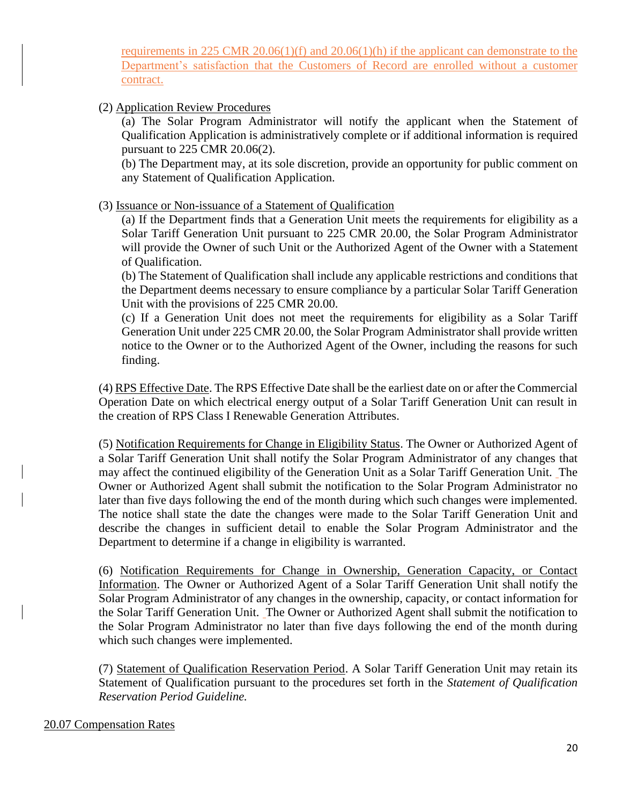requirements in 225 CMR 20.06(1)(f) and 20.06(1)(h) if the applicant can demonstrate to the Department's satisfaction that the Customers of Record are enrolled without a customer contract.

(2) Application Review Procedures

(a) The Solar Program Administrator will notify the applicant when the Statement of Qualification Application is administratively complete or if additional information is required pursuant to 225 CMR 20.06(2).

(b) The Department may, at its sole discretion, provide an opportunity for public comment on any Statement of Qualification Application.

(3) Issuance or Non-issuance of a Statement of Qualification

(a) If the Department finds that a Generation Unit meets the requirements for eligibility as a Solar Tariff Generation Unit pursuant to 225 CMR 20.00, the Solar Program Administrator will provide the Owner of such Unit or the Authorized Agent of the Owner with a Statement of Qualification.

(b) The Statement of Qualification shall include any applicable restrictions and conditions that the Department deems necessary to ensure compliance by a particular Solar Tariff Generation Unit with the provisions of 225 CMR 20.00.

(c) If a Generation Unit does not meet the requirements for eligibility as a Solar Tariff Generation Unit under 225 CMR 20.00, the Solar Program Administrator shall provide written notice to the Owner or to the Authorized Agent of the Owner, including the reasons for such finding.

(4) RPS Effective Date. The RPS Effective Date shall be the earliest date on or after the Commercial Operation Date on which electrical energy output of a Solar Tariff Generation Unit can result in the creation of RPS Class I Renewable Generation Attributes.

(5) Notification Requirements for Change in Eligibility Status. The Owner or Authorized Agent of a Solar Tariff Generation Unit shall notify the Solar Program Administrator of any changes that may affect the continued eligibility of the Generation Unit as a Solar Tariff Generation Unit. The Owner or Authorized Agent shall submit the notification to the Solar Program Administrator no later than five days following the end of the month during which such changes were implemented. The notice shall state the date the changes were made to the Solar Tariff Generation Unit and describe the changes in sufficient detail to enable the Solar Program Administrator and the Department to determine if a change in eligibility is warranted.

(6) Notification Requirements for Change in Ownership, Generation Capacity, or Contact Information. The Owner or Authorized Agent of a Solar Tariff Generation Unit shall notify the Solar Program Administrator of any changes in the ownership, capacity, or contact information for the Solar Tariff Generation Unit. The Owner or Authorized Agent shall submit the notification to the Solar Program Administrator no later than five days following the end of the month during which such changes were implemented.

(7) Statement of Qualification Reservation Period. A Solar Tariff Generation Unit may retain its Statement of Qualification pursuant to the procedures set forth in the *Statement of Qualification Reservation Period Guideline.*

### 20.07 Compensation Rates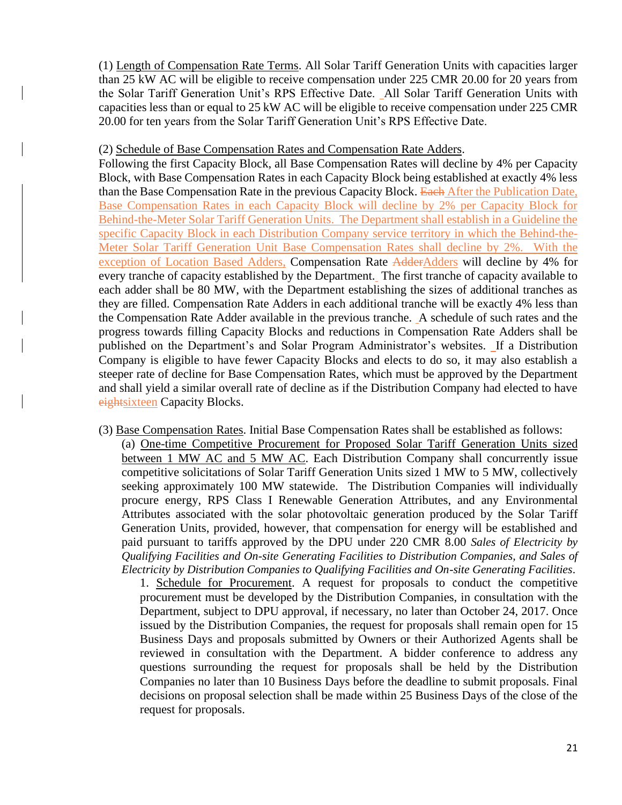(1) Length of Compensation Rate Terms. All Solar Tariff Generation Units with capacities larger than 25 kW AC will be eligible to receive compensation under 225 CMR 20.00 for 20 years from the Solar Tariff Generation Unit's RPS Effective Date. All Solar Tariff Generation Units with capacities less than or equal to 25 kW AC will be eligible to receive compensation under 225 CMR 20.00 for ten years from the Solar Tariff Generation Unit's RPS Effective Date.

#### (2) Schedule of Base Compensation Rates and Compensation Rate Adders.

Following the first Capacity Block, all Base Compensation Rates will decline by 4% per Capacity Block, with Base Compensation Rates in each Capacity Block being established at exactly 4% less than the Base Compensation Rate in the previous Capacity Block. Each After the Publication Date, Base Compensation Rates in each Capacity Block will decline by 2% per Capacity Block for Behind-the-Meter Solar Tariff Generation Units. The Department shall establish in a Guideline the specific Capacity Block in each Distribution Company service territory in which the Behind-the-Meter Solar Tariff Generation Unit Base Compensation Rates shall decline by 2%. With the exception of Location Based Adders, Compensation Rate AdderAdders will decline by 4% for every tranche of capacity established by the Department. The first tranche of capacity available to each adder shall be 80 MW, with the Department establishing the sizes of additional tranches as they are filled. Compensation Rate Adders in each additional tranche will be exactly 4% less than the Compensation Rate Adder available in the previous tranche. A schedule of such rates and the progress towards filling Capacity Blocks and reductions in Compensation Rate Adders shall be published on the Department's and Solar Program Administrator's websites. If a Distribution Company is eligible to have fewer Capacity Blocks and elects to do so, it may also establish a steeper rate of decline for Base Compensation Rates, which must be approved by the Department and shall yield a similar overall rate of decline as if the Distribution Company had elected to have eightsixteen Capacity Blocks.

(3) Base Compensation Rates. Initial Base Compensation Rates shall be established as follows:

(a) One-time Competitive Procurement for Proposed Solar Tariff Generation Units sized between 1 MW AC and 5 MW AC. Each Distribution Company shall concurrently issue competitive solicitations of Solar Tariff Generation Units sized 1 MW to 5 MW, collectively seeking approximately 100 MW statewide. The Distribution Companies will individually procure energy, RPS Class I Renewable Generation Attributes, and any Environmental Attributes associated with the solar photovoltaic generation produced by the Solar Tariff Generation Units, provided, however, that compensation for energy will be established and paid pursuant to tariffs approved by the DPU under 220 CMR 8.00 *Sales of Electricity by Qualifying Facilities and On-site Generating Facilities to Distribution Companies, and Sales of Electricity by Distribution Companies to Qualifying Facilities and On-site Generating Facilities*.

1. Schedule for Procurement. A request for proposals to conduct the competitive procurement must be developed by the Distribution Companies, in consultation with the Department, subject to DPU approval, if necessary, no later than October 24, 2017. Once issued by the Distribution Companies, the request for proposals shall remain open for 15 Business Days and proposals submitted by Owners or their Authorized Agents shall be reviewed in consultation with the Department. A bidder conference to address any questions surrounding the request for proposals shall be held by the Distribution Companies no later than 10 Business Days before the deadline to submit proposals. Final decisions on proposal selection shall be made within 25 Business Days of the close of the request for proposals.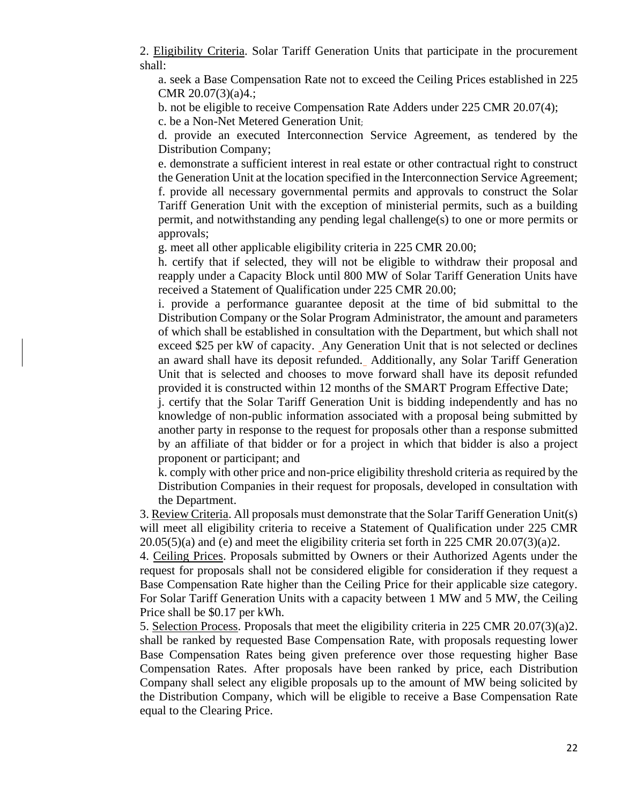2. Eligibility Criteria. Solar Tariff Generation Units that participate in the procurement shall:

a. seek a Base Compensation Rate not to exceed the Ceiling Prices established in 225 CMR 20.07(3)(a)4.;

b. not be eligible to receive Compensation Rate Adders under 225 CMR 20.07(4);

c. be a Non-Net Metered Generation Unit;

d. provide an executed Interconnection Service Agreement, as tendered by the Distribution Company;

e. demonstrate a sufficient interest in real estate or other contractual right to construct the Generation Unit at the location specified in the Interconnection Service Agreement; f. provide all necessary governmental permits and approvals to construct the Solar Tariff Generation Unit with the exception of ministerial permits, such as a building permit, and notwithstanding any pending legal challenge(s) to one or more permits or approvals;

g. meet all other applicable eligibility criteria in 225 CMR 20.00;

h. certify that if selected, they will not be eligible to withdraw their proposal and reapply under a Capacity Block until 800 MW of Solar Tariff Generation Units have received a Statement of Qualification under 225 CMR 20.00;

i. provide a performance guarantee deposit at the time of bid submittal to the Distribution Company or the Solar Program Administrator, the amount and parameters of which shall be established in consultation with the Department, but which shall not exceed \$25 per kW of capacity. Any Generation Unit that is not selected or declines an award shall have its deposit refunded. Additionally, any Solar Tariff Generation Unit that is selected and chooses to move forward shall have its deposit refunded provided it is constructed within 12 months of the SMART Program Effective Date;

j. certify that the Solar Tariff Generation Unit is bidding independently and has no knowledge of non-public information associated with a proposal being submitted by another party in response to the request for proposals other than a response submitted by an affiliate of that bidder or for a project in which that bidder is also a project proponent or participant; and

k. comply with other price and non-price eligibility threshold criteria as required by the Distribution Companies in their request for proposals, developed in consultation with the Department.

3. Review Criteria. All proposals must demonstrate that the Solar Tariff Generation Unit(s) will meet all eligibility criteria to receive a Statement of Qualification under 225 CMR  $20.05(5)(a)$  and (e) and meet the eligibility criteria set forth in 225 CMR 20.07(3)(a)2.

4. Ceiling Prices. Proposals submitted by Owners or their Authorized Agents under the request for proposals shall not be considered eligible for consideration if they request a Base Compensation Rate higher than the Ceiling Price for their applicable size category. For Solar Tariff Generation Units with a capacity between 1 MW and 5 MW, the Ceiling Price shall be \$0.17 per kWh.

5. Selection Process. Proposals that meet the eligibility criteria in 225 CMR 20.07(3)(a)2. shall be ranked by requested Base Compensation Rate, with proposals requesting lower Base Compensation Rates being given preference over those requesting higher Base Compensation Rates. After proposals have been ranked by price, each Distribution Company shall select any eligible proposals up to the amount of MW being solicited by the Distribution Company, which will be eligible to receive a Base Compensation Rate equal to the Clearing Price.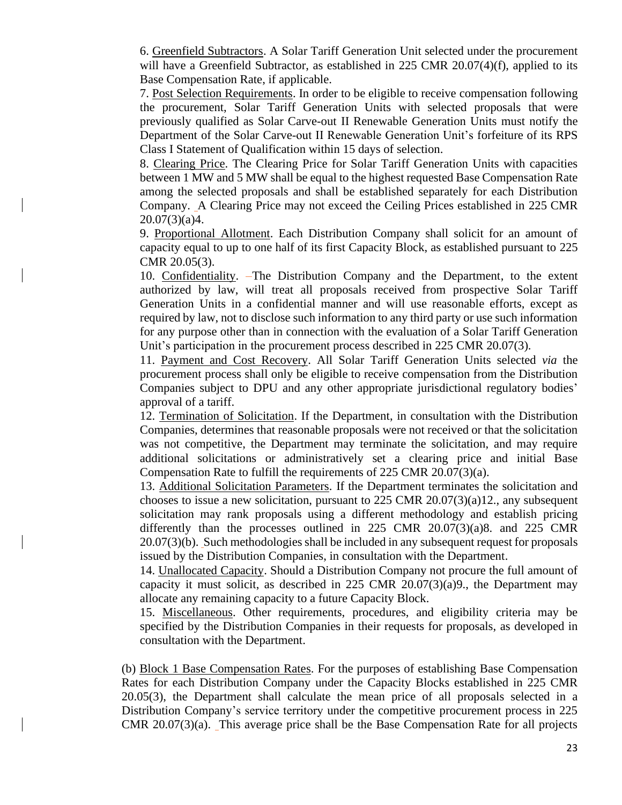6. Greenfield Subtractors. A Solar Tariff Generation Unit selected under the procurement will have a Greenfield Subtractor, as established in 225 CMR 20.07(4)(f), applied to its Base Compensation Rate, if applicable.

7. Post Selection Requirements. In order to be eligible to receive compensation following the procurement, Solar Tariff Generation Units with selected proposals that were previously qualified as Solar Carve-out II Renewable Generation Units must notify the Department of the Solar Carve-out II Renewable Generation Unit's forfeiture of its RPS Class I Statement of Qualification within 15 days of selection.

8. Clearing Price. The Clearing Price for Solar Tariff Generation Units with capacities between 1 MW and 5 MW shall be equal to the highest requested Base Compensation Rate among the selected proposals and shall be established separately for each Distribution Company. A Clearing Price may not exceed the Ceiling Prices established in 225 CMR 20.07(3)(a)4.

9. Proportional Allotment. Each Distribution Company shall solicit for an amount of capacity equal to up to one half of its first Capacity Block, as established pursuant to 225 CMR 20.05(3).

10. Confidentiality. The Distribution Company and the Department, to the extent authorized by law, will treat all proposals received from prospective Solar Tariff Generation Units in a confidential manner and will use reasonable efforts, except as required by law, not to disclose such information to any third party or use such information for any purpose other than in connection with the evaluation of a Solar Tariff Generation Unit's participation in the procurement process described in 225 CMR 20.07(3).

11. Payment and Cost Recovery. All Solar Tariff Generation Units selected *via* the procurement process shall only be eligible to receive compensation from the Distribution Companies subject to DPU and any other appropriate jurisdictional regulatory bodies' approval of a tariff.

12. Termination of Solicitation. If the Department, in consultation with the Distribution Companies, determines that reasonable proposals were not received or that the solicitation was not competitive, the Department may terminate the solicitation, and may require additional solicitations or administratively set a clearing price and initial Base Compensation Rate to fulfill the requirements of 225 CMR 20.07(3)(a).

13. Additional Solicitation Parameters. If the Department terminates the solicitation and chooses to issue a new solicitation, pursuant to 225 CMR 20.07(3)(a)12., any subsequent solicitation may rank proposals using a different methodology and establish pricing differently than the processes outlined in 225 CMR 20.07(3)(a)8. and 225 CMR 20.07(3)(b). Such methodologies shall be included in any subsequent request for proposals issued by the Distribution Companies, in consultation with the Department.

14. Unallocated Capacity. Should a Distribution Company not procure the full amount of capacity it must solicit, as described in 225 CMR 20.07(3)(a)9., the Department may allocate any remaining capacity to a future Capacity Block.

15. Miscellaneous. Other requirements, procedures, and eligibility criteria may be specified by the Distribution Companies in their requests for proposals, as developed in consultation with the Department.

(b) Block 1 Base Compensation Rates. For the purposes of establishing Base Compensation Rates for each Distribution Company under the Capacity Blocks established in 225 CMR 20.05(3), the Department shall calculate the mean price of all proposals selected in a Distribution Company's service territory under the competitive procurement process in 225 CMR 20.07(3)(a). This average price shall be the Base Compensation Rate for all projects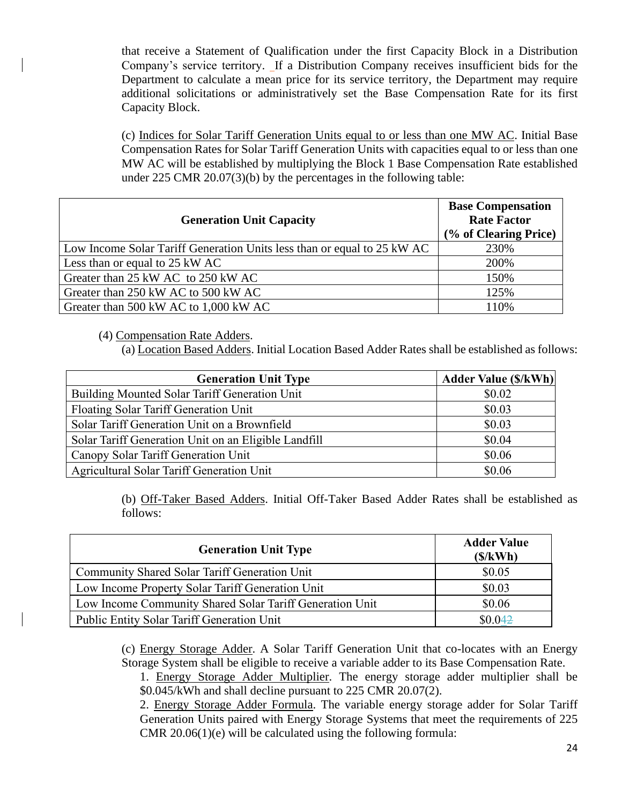that receive a Statement of Qualification under the first Capacity Block in a Distribution Company's service territory. If a Distribution Company receives insufficient bids for the Department to calculate a mean price for its service territory, the Department may require additional solicitations or administratively set the Base Compensation Rate for its first Capacity Block.

(c) Indices for Solar Tariff Generation Units equal to or less than one MW AC. Initial Base Compensation Rates for Solar Tariff Generation Units with capacities equal to or less than one MW AC will be established by multiplying the Block 1 Base Compensation Rate established under 225 CMR 20.07(3)(b) by the percentages in the following table:

| <b>Generation Unit Capacity</b>                                         | <b>Base Compensation</b><br><b>Rate Factor</b><br>(% of Clearing Price) |
|-------------------------------------------------------------------------|-------------------------------------------------------------------------|
| Low Income Solar Tariff Generation Units less than or equal to 25 kW AC | 230%                                                                    |
| Less than or equal to 25 kW AC                                          | 200%                                                                    |
| Greater than 25 kW AC to 250 kW AC                                      | 150%                                                                    |
| Greater than 250 kW AC to 500 kW AC                                     | 125%                                                                    |
| Greater than 500 kW AC to 1,000 kW AC                                   | 110%                                                                    |

(4) Compensation Rate Adders.

(a) Location Based Adders. Initial Location Based Adder Rates shall be established as follows:

| <b>Generation Unit Type</b>                          | <b>Adder Value (\$/kWh)</b> |
|------------------------------------------------------|-----------------------------|
| Building Mounted Solar Tariff Generation Unit        | \$0.02                      |
| Floating Solar Tariff Generation Unit                | \$0.03                      |
| Solar Tariff Generation Unit on a Brownfield         | \$0.03                      |
| Solar Tariff Generation Unit on an Eligible Landfill | \$0.04                      |
| Canopy Solar Tariff Generation Unit                  | \$0.06                      |
| Agricultural Solar Tariff Generation Unit            | \$0.06                      |

(b) Off-Taker Based Adders. Initial Off-Taker Based Adder Rates shall be established as follows:

| <b>Generation Unit Type</b>                              | <b>Adder Value</b><br>(S/kWh) |
|----------------------------------------------------------|-------------------------------|
| Community Shared Solar Tariff Generation Unit            | \$0.05                        |
| Low Income Property Solar Tariff Generation Unit         | \$0.03                        |
| Low Income Community Shared Solar Tariff Generation Unit | \$0.06                        |
| <b>Public Entity Solar Tariff Generation Unit</b>        | \$0.042                       |

(c) Energy Storage Adder. A Solar Tariff Generation Unit that co-locates with an Energy Storage System shall be eligible to receive a variable adder to its Base Compensation Rate.

1. Energy Storage Adder Multiplier. The energy storage adder multiplier shall be \$0.045/kWh and shall decline pursuant to 225 CMR 20.07(2).

2. Energy Storage Adder Formula. The variable energy storage adder for Solar Tariff Generation Units paired with Energy Storage Systems that meet the requirements of 225 CMR 20.06(1)(e) will be calculated using the following formula: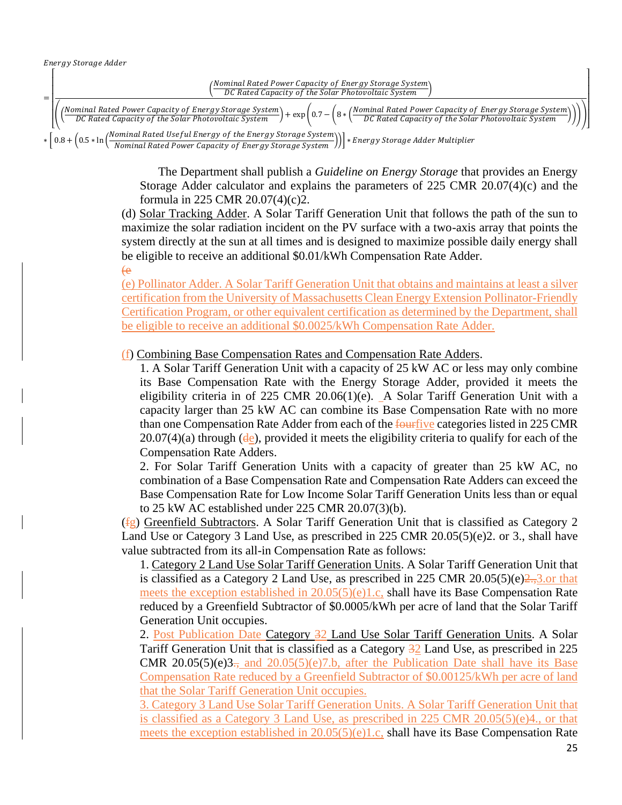

The Department shall publish a *Guideline on Energy Storage* that provides an Energy Storage Adder calculator and explains the parameters of 225 CMR 20.07(4)(c) and the formula in 225 CMR 20.07(4)(c)2.

(d) Solar Tracking Adder. A Solar Tariff Generation Unit that follows the path of the sun to maximize the solar radiation incident on the PV surface with a two-axis array that points the system directly at the sun at all times and is designed to maximize possible daily energy shall be eligible to receive an additional \$0.01/kWh Compensation Rate Adder. (e

(e) Pollinator Adder. A Solar Tariff Generation Unit that obtains and maintains at least a silver certification from the University of Massachusetts Clean Energy Extension Pollinator-Friendly Certification Program, or other equivalent certification as determined by the Department, shall be eligible to receive an additional \$0.0025/kWh Compensation Rate Adder.

(f) Combining Base Compensation Rates and Compensation Rate Adders.

1. A Solar Tariff Generation Unit with a capacity of 25 kW AC or less may only combine its Base Compensation Rate with the Energy Storage Adder, provided it meets the eligibility criteria in of 225 CMR 20.06(1)(e). A Solar Tariff Generation Unit with a capacity larger than 25 kW AC can combine its Base Compensation Rate with no more than one Compensation Rate Adder from each of the fourtive categories listed in 225 CMR  $20.07(4)(a)$  through ( $de$ ), provided it meets the eligibility criteria to qualify for each of the Compensation Rate Adders.

2. For Solar Tariff Generation Units with a capacity of greater than 25 kW AC, no combination of a Base Compensation Rate and Compensation Rate Adders can exceed the Base Compensation Rate for Low Income Solar Tariff Generation Units less than or equal to 25 kW AC established under 225 CMR 20.07(3)(b).

(fg) Greenfield Subtractors. A Solar Tariff Generation Unit that is classified as Category 2 Land Use or Category 3 Land Use, as prescribed in 225 CMR 20.05(5)(e)2. or 3., shall have value subtracted from its all-in Compensation Rate as follows:

1. Category 2 Land Use Solar Tariff Generation Units. A Solar Tariff Generation Unit that is classified as a Category 2 Land Use, as prescribed in 225 CMR 20.05(5)(e) $\frac{2}{3}$ , or that meets the exception established in 20.05(5)(e)1.c, shall have its Base Compensation Rate reduced by a Greenfield Subtractor of \$0.0005/kWh per acre of land that the Solar Tariff Generation Unit occupies.

2. Post Publication Date Category 32 Land Use Solar Tariff Generation Units. A Solar Tariff Generation Unit that is classified as a Category 32 Land Use, as prescribed in 225 **CMR** 20.05(5)(e)3., and 20.05(5)(e)7.b, after the Publication Date shall have its Base Compensation Rate reduced by a Greenfield Subtractor of \$0.00125/kWh per acre of land that the Solar Tariff Generation Unit occupies.

3. Category 3 Land Use Solar Tariff Generation Units. A Solar Tariff Generation Unit that is classified as a Category 3 Land Use, as prescribed in 225 CMR 20.05(5)(e)4., or that meets the exception established in  $20.05(5)(e)1.c$ , shall have its Base Compensation Rate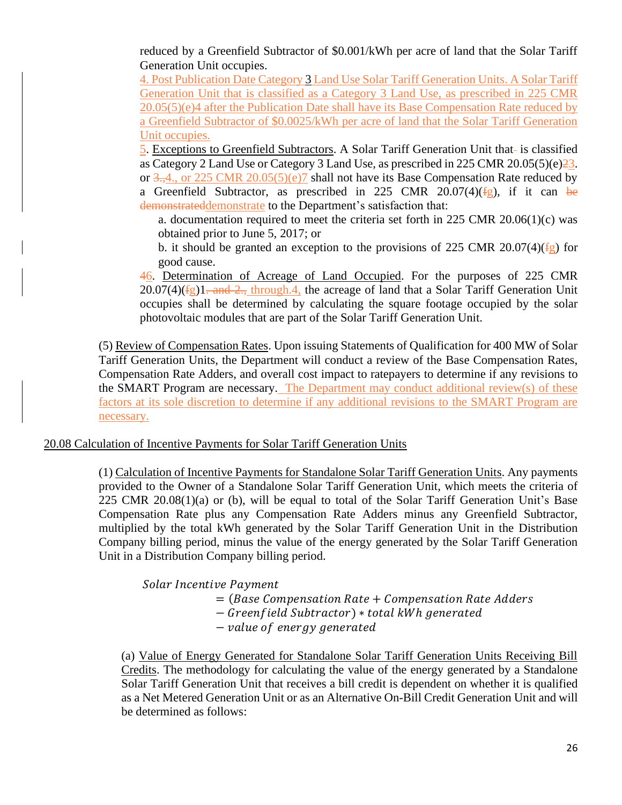reduced by a Greenfield Subtractor of \$0.001/kWh per acre of land that the Solar Tariff Generation Unit occupies.

4. Post Publication Date Category 3 Land Use Solar Tariff Generation Units. A Solar Tariff Generation Unit that is classified as a Category 3 Land Use, as prescribed in 225 CMR 20.05(5)(e)4 after the Publication Date shall have its Base Compensation Rate reduced by a Greenfield Subtractor of \$0.0025/kWh per acre of land that the Solar Tariff Generation Unit occupies.

5. Exceptions to Greenfield Subtractors. A Solar Tariff Generation Unit that- is classified as Category 2 Land Use or Category 3 Land Use, as prescribed in 225 CMR 20.05(5)(e)23. or  $3,4$ , or 225 CMR 20.05(5)(e)7 shall not have its Base Compensation Rate reduced by a Greenfield Subtractor, as prescribed in 225 CMR 20.07(4)( $f$ g), if it can be demonstrateddemonstrate to the Department's satisfaction that:

a. documentation required to meet the criteria set forth in 225 CMR 20.06(1)(c) was obtained prior to June 5, 2017; or

b. it should be granted an exception to the provisions of 225 CMR 20.07(4)( $\frac{f_{\text{g}}}{f_{\text{g}}}$ ) for good cause.

46. Determination of Acreage of Land Occupied. For the purposes of 225 CMR  $20.07(4)(fg)1$ . and 2., through 4, the acreage of land that a Solar Tariff Generation Unit occupies shall be determined by calculating the square footage occupied by the solar photovoltaic modules that are part of the Solar Tariff Generation Unit.

(5) Review of Compensation Rates. Upon issuing Statements of Qualification for 400 MW of Solar Tariff Generation Units, the Department will conduct a review of the Base Compensation Rates, Compensation Rate Adders, and overall cost impact to ratepayers to determine if any revisions to the SMART Program are necessary. The Department may conduct additional review(s) of these factors at its sole discretion to determine if any additional revisions to the SMART Program are necessary.

### 20.08 Calculation of Incentive Payments for Solar Tariff Generation Units

(1) Calculation of Incentive Payments for Standalone Solar Tariff Generation Units. Any payments provided to the Owner of a Standalone Solar Tariff Generation Unit, which meets the criteria of 225 CMR 20.08(1)(a) or (b), will be equal to total of the Solar Tariff Generation Unit's Base Compensation Rate plus any Compensation Rate Adders minus any Greenfield Subtractor, multiplied by the total kWh generated by the Solar Tariff Generation Unit in the Distribution Company billing period, minus the value of the energy generated by the Solar Tariff Generation Unit in a Distribution Company billing period.

Solar Incentive Payment

- $=$  (Base Compensation Rate  $+$  Compensation Rate Adders)
- − Greenfield Subtractor) \* total kWh generated
- − value of energy generated

(a) Value of Energy Generated for Standalone Solar Tariff Generation Units Receiving Bill Credits. The methodology for calculating the value of the energy generated by a Standalone Solar Tariff Generation Unit that receives a bill credit is dependent on whether it is qualified as a Net Metered Generation Unit or as an Alternative On-Bill Credit Generation Unit and will be determined as follows: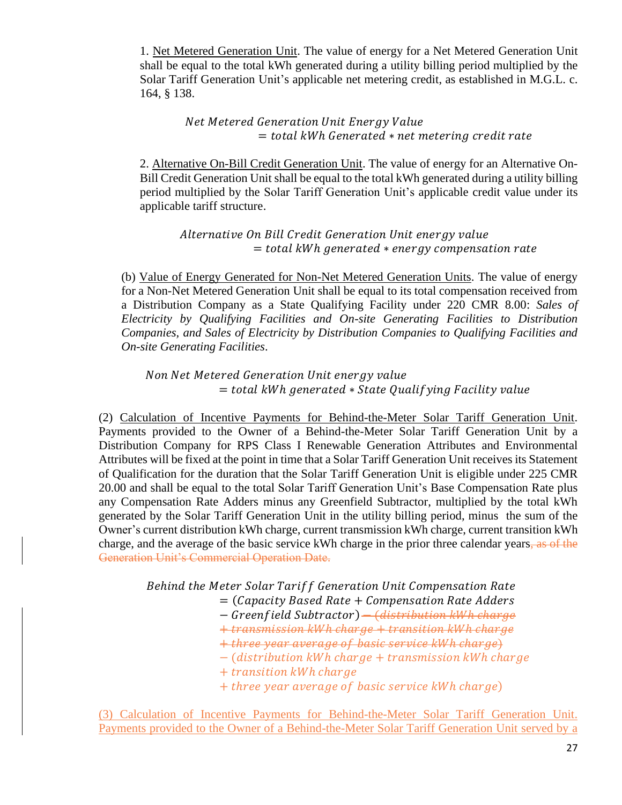1. Net Metered Generation Unit. The value of energy for a Net Metered Generation Unit shall be equal to the total kWh generated during a utility billing period multiplied by the Solar Tariff Generation Unit's applicable net metering credit, as established in M.G.L. c. 164, § 138.

> Net Metered Generation Unit Energy Value  $=$  total kWh Generated  $*$  net metering credit rate

2. Alternative On-Bill Credit Generation Unit. The value of energy for an Alternative On-Bill Credit Generation Unit shall be equal to the total kWh generated during a utility billing period multiplied by the Solar Tariff Generation Unit's applicable credit value under its applicable tariff structure.

Alternative On Bill Credit Generation Unit energy value  $=$  total kWh generated  $*$  energy compensation rate

(b) Value of Energy Generated for Non-Net Metered Generation Units. The value of energy for a Non-Net Metered Generation Unit shall be equal to its total compensation received from a Distribution Company as a State Qualifying Facility under 220 CMR 8.00: *Sales of Electricity by Qualifying Facilities and On-site Generating Facilities to Distribution Companies, and Sales of Electricity by Distribution Companies to Qualifying Facilities and On-site Generating Facilities*.

Non Net Metered Generation Unit energy value  $=$  total kWh generated  $*$  State Qualifying Facility value

(2) Calculation of Incentive Payments for Behind-the-Meter Solar Tariff Generation Unit. Payments provided to the Owner of a Behind-the-Meter Solar Tariff Generation Unit by a Distribution Company for RPS Class I Renewable Generation Attributes and Environmental Attributes will be fixed at the point in time that a Solar Tariff Generation Unit receives its Statement of Qualification for the duration that the Solar Tariff Generation Unit is eligible under 225 CMR 20.00 and shall be equal to the total Solar Tariff Generation Unit's Base Compensation Rate plus any Compensation Rate Adders minus any Greenfield Subtractor, multiplied by the total kWh generated by the Solar Tariff Generation Unit in the utility billing period, minus the sum of the Owner's current distribution kWh charge, current transmission kWh charge, current transition kWh charge, and the average of the basic service kWh charge in the prior three calendar years, as of the Generation Unit's Commercial Operation Date.

Behind the Meter Solar Tariff Generation Unit Compensation Rate

 $=$  (Capacity Based Rate  $+$  Compensation Rate Adders)

− Greenfield Subtractor) <del>− (distribution kWh charge</del>

+ transmission kWh charge + transition kWh charge

+ three year average of basic service kWh charge)

− (distribution kWh charge + transmission kWh charge

- + transition kWh charge
- + three year average of basic service kWh charge)

(3) Calculation of Incentive Payments for Behind-the-Meter Solar Tariff Generation Unit. Payments provided to the Owner of a Behind-the-Meter Solar Tariff Generation Unit served by a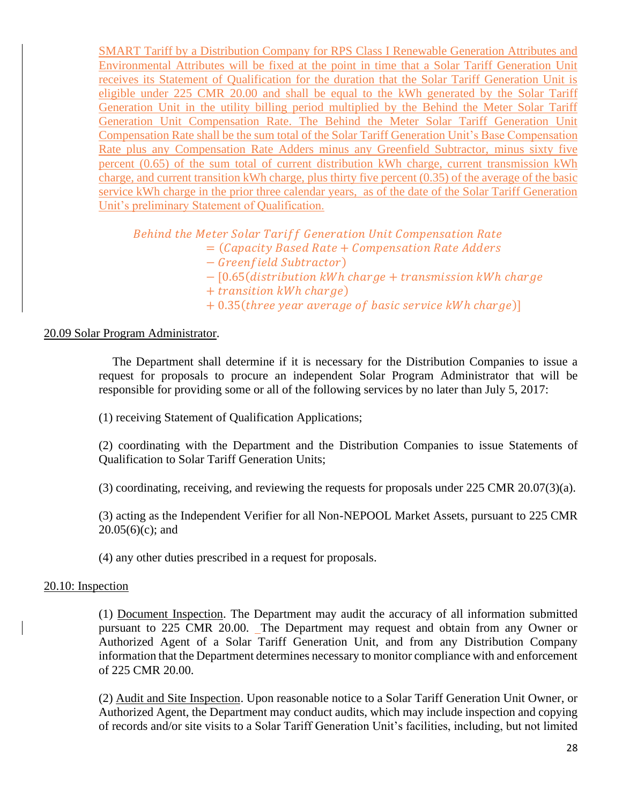SMART Tariff by a Distribution Company for RPS Class I Renewable Generation Attributes and Environmental Attributes will be fixed at the point in time that a Solar Tariff Generation Unit receives its Statement of Qualification for the duration that the Solar Tariff Generation Unit is eligible under 225 CMR 20.00 and shall be equal to the kWh generated by the Solar Tariff Generation Unit in the utility billing period multiplied by the Behind the Meter Solar Tariff Generation Unit Compensation Rate. The Behind the Meter Solar Tariff Generation Unit Compensation Rate shall be the sum total of the Solar Tariff Generation Unit's Base Compensation Rate plus any Compensation Rate Adders minus any Greenfield Subtractor, minus sixty five percent (0.65) of the sum total of current distribution kWh charge, current transmission kWh charge, and current transition kWh charge, plus thirty five percent (0.35) of the average of the basic service kWh charge in the prior three calendar years, as of the date of the Solar Tariff Generation Unit's preliminary Statement of Qualification.

Behind the Meter Solar Tariff Generation Unit Compensation Rate

- $=$  (Capacity Based Rate  $+$  Compensation Rate Adders
	- − Greenfield Subtractor)
	- − [0.65(distribution kWh charge + transmission kWh charge
	- $+$  transition kWh charge)
	- $+ 0.35$ (*three year average of basic service kWh charge*)]

#### 20.09 Solar Program Administrator.

The Department shall determine if it is necessary for the Distribution Companies to issue a request for proposals to procure an independent Solar Program Administrator that will be responsible for providing some or all of the following services by no later than July 5, 2017:

(1) receiving Statement of Qualification Applications;

(2) coordinating with the Department and the Distribution Companies to issue Statements of Qualification to Solar Tariff Generation Units;

(3) coordinating, receiving, and reviewing the requests for proposals under 225 CMR 20.07(3)(a).

(3) acting as the Independent Verifier for all Non-NEPOOL Market Assets, pursuant to 225 CMR  $20.05(6)(c)$ ; and

(4) any other duties prescribed in a request for proposals.

#### 20.10: Inspection

(1) Document Inspection. The Department may audit the accuracy of all information submitted pursuant to 225 CMR 20.00. The Department may request and obtain from any Owner or Authorized Agent of a Solar Tariff Generation Unit, and from any Distribution Company information that the Department determines necessary to monitor compliance with and enforcement of 225 CMR 20.00.

(2) Audit and Site Inspection. Upon reasonable notice to a Solar Tariff Generation Unit Owner, or Authorized Agent, the Department may conduct audits, which may include inspection and copying of records and/or site visits to a Solar Tariff Generation Unit's facilities, including, but not limited